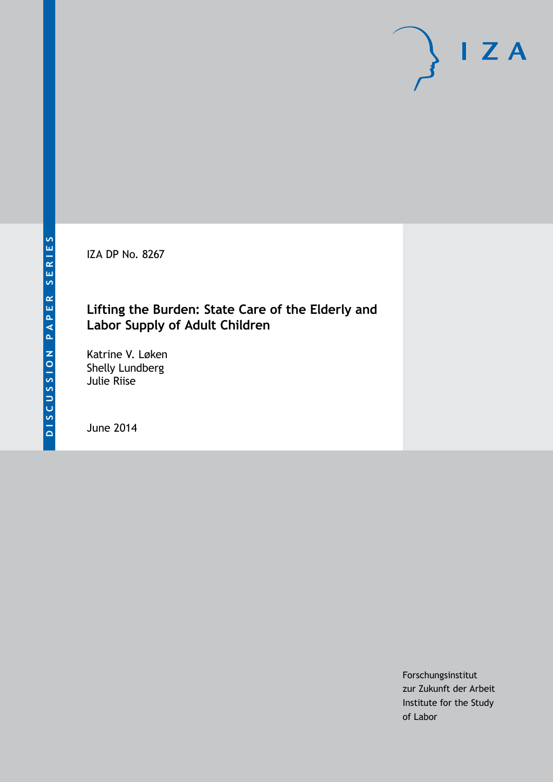IZA DP No. 8267

## **Lifting the Burden: State Care of the Elderly and Labor Supply of Adult Children**

Katrine V. Løken Shelly Lundberg Julie Riise

June 2014

Forschungsinstitut zur Zukunft der Arbeit Institute for the Study of Labor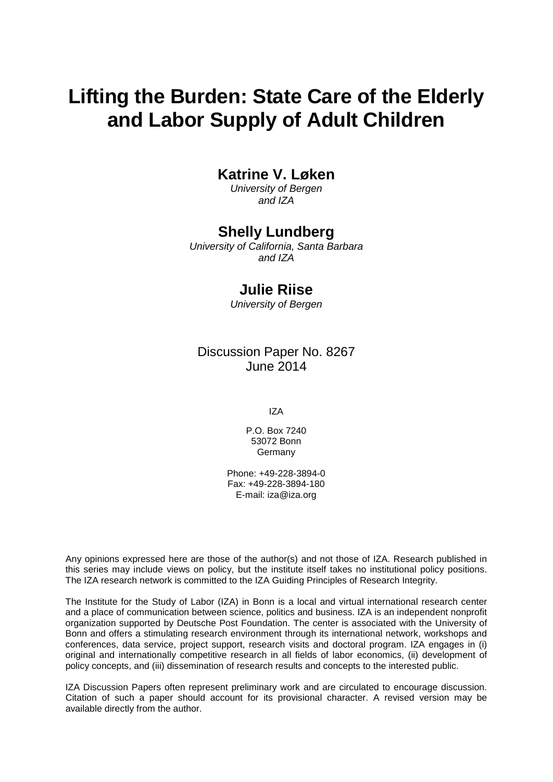## **Lifting the Burden: State Care of the Elderly and Labor Supply of Adult Children**

## **Katrine V. Løken**

*University of Bergen and IZA*

## **Shelly Lundberg**

*University of California, Santa Barbara and IZA*

## **Julie Riise**

*University of Bergen*

Discussion Paper No. 8267 June 2014

IZA

P.O. Box 7240 53072 Bonn **Germany** 

Phone: +49-228-3894-0 Fax: +49-228-3894-180 E-mail: [iza@iza.org](mailto:iza@iza.org)

Any opinions expressed here are those of the author(s) and not those of IZA. Research published in this series may include views on policy, but the institute itself takes no institutional policy positions. The IZA research network is committed to the IZA Guiding Principles of Research Integrity.

The Institute for the Study of Labor (IZA) in Bonn is a local and virtual international research center and a place of communication between science, politics and business. IZA is an independent nonprofit organization supported by Deutsche Post Foundation. The center is associated with the University of Bonn and offers a stimulating research environment through its international network, workshops and conferences, data service, project support, research visits and doctoral program. IZA engages in (i) original and internationally competitive research in all fields of labor economics, (ii) development of policy concepts, and (iii) dissemination of research results and concepts to the interested public.

IZA Discussion Papers often represent preliminary work and are circulated to encourage discussion. Citation of such a paper should account for its provisional character. A revised version may be available directly from the author.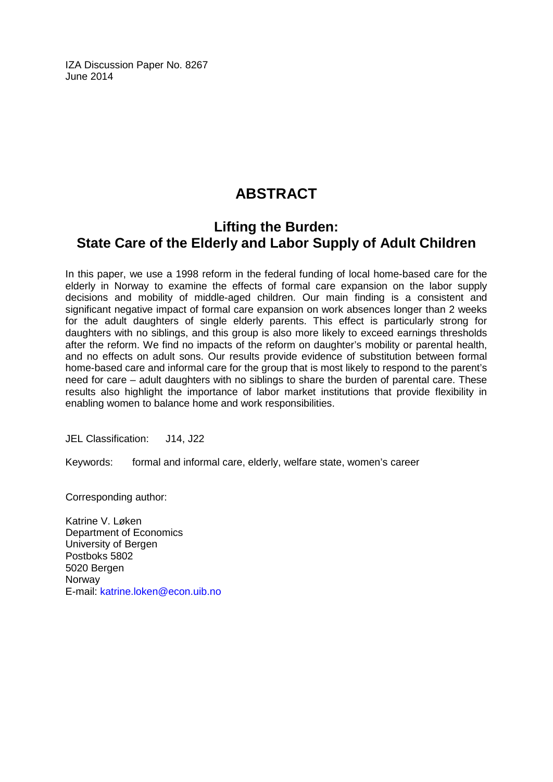IZA Discussion Paper No. 8267 June 2014

## **ABSTRACT**

## **Lifting the Burden: State Care of the Elderly and Labor Supply of Adult Children**

In this paper, we use a 1998 reform in the federal funding of local home-based care for the elderly in Norway to examine the effects of formal care expansion on the labor supply decisions and mobility of middle-aged children. Our main finding is a consistent and significant negative impact of formal care expansion on work absences longer than 2 weeks for the adult daughters of single elderly parents. This effect is particularly strong for daughters with no siblings, and this group is also more likely to exceed earnings thresholds after the reform. We find no impacts of the reform on daughter's mobility or parental health, and no effects on adult sons. Our results provide evidence of substitution between formal home-based care and informal care for the group that is most likely to respond to the parent's need for care – adult daughters with no siblings to share the burden of parental care. These results also highlight the importance of labor market institutions that provide flexibility in enabling women to balance home and work responsibilities.

JEL Classification: J14, J22

Keywords: formal and informal care, elderly, welfare state, women's career

Corresponding author:

Katrine V. Løken Department of Economics University of Bergen Postboks 5802 5020 Bergen Norway E-mail: [katrine.loken@econ.uib.no](mailto:katrine.loken@econ.uib.no)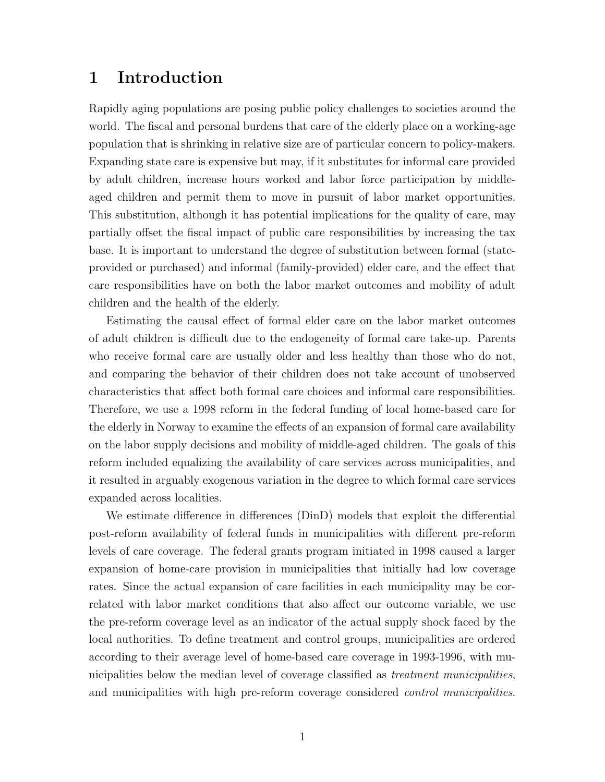## 1 Introduction

Rapidly aging populations are posing public policy challenges to societies around the world. The fiscal and personal burdens that care of the elderly place on a working-age population that is shrinking in relative size are of particular concern to policy-makers. Expanding state care is expensive but may, if it substitutes for informal care provided by adult children, increase hours worked and labor force participation by middleaged children and permit them to move in pursuit of labor market opportunities. This substitution, although it has potential implications for the quality of care, may partially offset the fiscal impact of public care responsibilities by increasing the tax base. It is important to understand the degree of substitution between formal (stateprovided or purchased) and informal (family-provided) elder care, and the effect that care responsibilities have on both the labor market outcomes and mobility of adult children and the health of the elderly.

Estimating the causal effect of formal elder care on the labor market outcomes of adult children is difficult due to the endogeneity of formal care take-up. Parents who receive formal care are usually older and less healthy than those who do not, and comparing the behavior of their children does not take account of unobserved characteristics that affect both formal care choices and informal care responsibilities. Therefore, we use a 1998 reform in the federal funding of local home-based care for the elderly in Norway to examine the effects of an expansion of formal care availability on the labor supply decisions and mobility of middle-aged children. The goals of this reform included equalizing the availability of care services across municipalities, and it resulted in arguably exogenous variation in the degree to which formal care services expanded across localities.

We estimate difference in differences (DinD) models that exploit the differential post-reform availability of federal funds in municipalities with different pre-reform levels of care coverage. The federal grants program initiated in 1998 caused a larger expansion of home-care provision in municipalities that initially had low coverage rates. Since the actual expansion of care facilities in each municipality may be correlated with labor market conditions that also affect our outcome variable, we use the pre-reform coverage level as an indicator of the actual supply shock faced by the local authorities. To define treatment and control groups, municipalities are ordered according to their average level of home-based care coverage in 1993-1996, with municipalities below the median level of coverage classified as *treatment municipalities*, and municipalities with high pre-reform coverage considered control municipalities.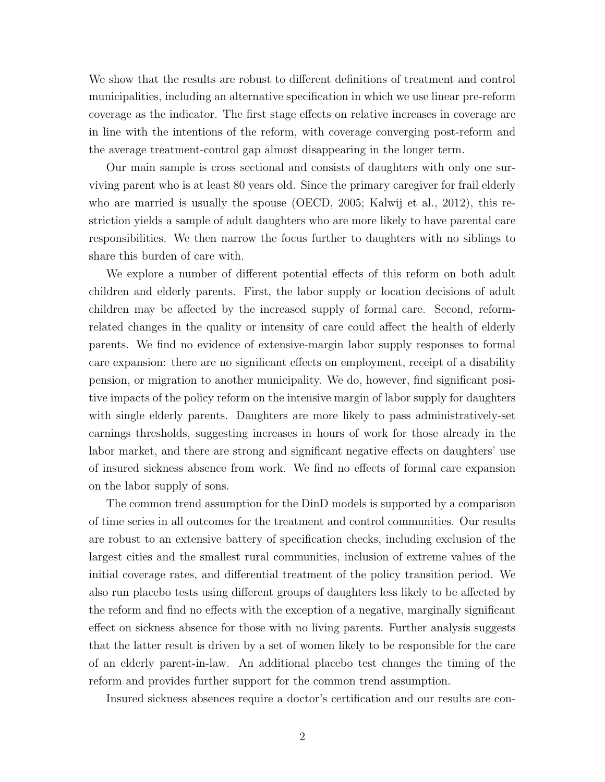We show that the results are robust to different definitions of treatment and control municipalities, including an alternative specification in which we use linear pre-reform coverage as the indicator. The first stage effects on relative increases in coverage are in line with the intentions of the reform, with coverage converging post-reform and the average treatment-control gap almost disappearing in the longer term.

Our main sample is cross sectional and consists of daughters with only one surviving parent who is at least 80 years old. Since the primary caregiver for frail elderly who are married is usually the spouse (OECD, 2005; Kalwij et al., 2012), this restriction yields a sample of adult daughters who are more likely to have parental care responsibilities. We then narrow the focus further to daughters with no siblings to share this burden of care with.

We explore a number of different potential effects of this reform on both adult children and elderly parents. First, the labor supply or location decisions of adult children may be affected by the increased supply of formal care. Second, reformrelated changes in the quality or intensity of care could affect the health of elderly parents. We find no evidence of extensive-margin labor supply responses to formal care expansion: there are no significant effects on employment, receipt of a disability pension, or migration to another municipality. We do, however, find significant positive impacts of the policy reform on the intensive margin of labor supply for daughters with single elderly parents. Daughters are more likely to pass administratively-set earnings thresholds, suggesting increases in hours of work for those already in the labor market, and there are strong and significant negative effects on daughters' use of insured sickness absence from work. We find no effects of formal care expansion on the labor supply of sons.

The common trend assumption for the DinD models is supported by a comparison of time series in all outcomes for the treatment and control communities. Our results are robust to an extensive battery of specification checks, including exclusion of the largest cities and the smallest rural communities, inclusion of extreme values of the initial coverage rates, and differential treatment of the policy transition period. We also run placebo tests using different groups of daughters less likely to be affected by the reform and find no effects with the exception of a negative, marginally significant effect on sickness absence for those with no living parents. Further analysis suggests that the latter result is driven by a set of women likely to be responsible for the care of an elderly parent-in-law. An additional placebo test changes the timing of the reform and provides further support for the common trend assumption.

Insured sickness absences require a doctor's certification and our results are con-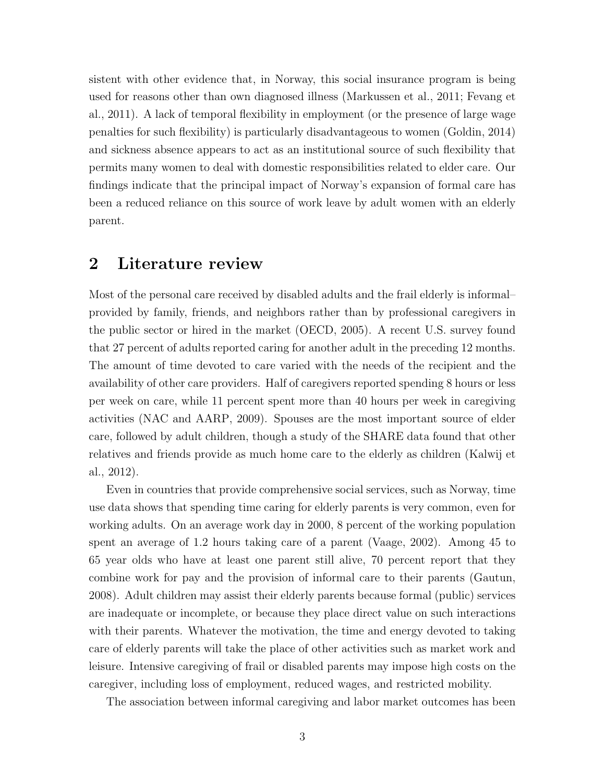sistent with other evidence that, in Norway, this social insurance program is being used for reasons other than own diagnosed illness (Markussen et al., 2011; Fevang et al., 2011). A lack of temporal flexibility in employment (or the presence of large wage penalties for such flexibility) is particularly disadvantageous to women (Goldin, 2014) and sickness absence appears to act as an institutional source of such flexibility that permits many women to deal with domestic responsibilities related to elder care. Our findings indicate that the principal impact of Norway's expansion of formal care has been a reduced reliance on this source of work leave by adult women with an elderly parent.

## 2 Literature review

Most of the personal care received by disabled adults and the frail elderly is informal– provided by family, friends, and neighbors rather than by professional caregivers in the public sector or hired in the market (OECD, 2005). A recent U.S. survey found that 27 percent of adults reported caring for another adult in the preceding 12 months. The amount of time devoted to care varied with the needs of the recipient and the availability of other care providers. Half of caregivers reported spending 8 hours or less per week on care, while 11 percent spent more than 40 hours per week in caregiving activities (NAC and AARP, 2009). Spouses are the most important source of elder care, followed by adult children, though a study of the SHARE data found that other relatives and friends provide as much home care to the elderly as children (Kalwij et al., 2012).

Even in countries that provide comprehensive social services, such as Norway, time use data shows that spending time caring for elderly parents is very common, even for working adults. On an average work day in 2000, 8 percent of the working population spent an average of 1.2 hours taking care of a parent (Vaage, 2002). Among 45 to 65 year olds who have at least one parent still alive, 70 percent report that they combine work for pay and the provision of informal care to their parents (Gautun, 2008). Adult children may assist their elderly parents because formal (public) services are inadequate or incomplete, or because they place direct value on such interactions with their parents. Whatever the motivation, the time and energy devoted to taking care of elderly parents will take the place of other activities such as market work and leisure. Intensive caregiving of frail or disabled parents may impose high costs on the caregiver, including loss of employment, reduced wages, and restricted mobility.

The association between informal caregiving and labor market outcomes has been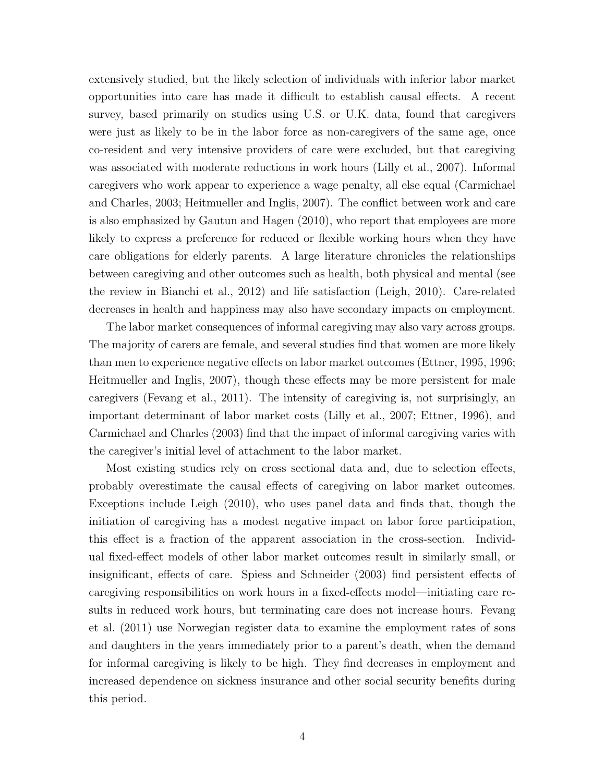extensively studied, but the likely selection of individuals with inferior labor market opportunities into care has made it difficult to establish causal effects. A recent survey, based primarily on studies using U.S. or U.K. data, found that caregivers were just as likely to be in the labor force as non-caregivers of the same age, once co-resident and very intensive providers of care were excluded, but that caregiving was associated with moderate reductions in work hours (Lilly et al., 2007). Informal caregivers who work appear to experience a wage penalty, all else equal (Carmichael and Charles, 2003; Heitmueller and Inglis, 2007). The conflict between work and care is also emphasized by Gautun and Hagen (2010), who report that employees are more likely to express a preference for reduced or flexible working hours when they have care obligations for elderly parents. A large literature chronicles the relationships between caregiving and other outcomes such as health, both physical and mental (see the review in Bianchi et al., 2012) and life satisfaction (Leigh, 2010). Care-related decreases in health and happiness may also have secondary impacts on employment.

The labor market consequences of informal caregiving may also vary across groups. The majority of carers are female, and several studies find that women are more likely than men to experience negative effects on labor market outcomes (Ettner, 1995, 1996; Heitmueller and Inglis, 2007), though these effects may be more persistent for male caregivers (Fevang et al., 2011). The intensity of caregiving is, not surprisingly, an important determinant of labor market costs (Lilly et al., 2007; Ettner, 1996), and Carmichael and Charles (2003) find that the impact of informal caregiving varies with the caregiver's initial level of attachment to the labor market.

Most existing studies rely on cross sectional data and, due to selection effects, probably overestimate the causal effects of caregiving on labor market outcomes. Exceptions include Leigh (2010), who uses panel data and finds that, though the initiation of caregiving has a modest negative impact on labor force participation, this effect is a fraction of the apparent association in the cross-section. Individual fixed-effect models of other labor market outcomes result in similarly small, or insignificant, effects of care. Spiess and Schneider (2003) find persistent effects of caregiving responsibilities on work hours in a fixed-effects model—initiating care results in reduced work hours, but terminating care does not increase hours. Fevang et al. (2011) use Norwegian register data to examine the employment rates of sons and daughters in the years immediately prior to a parent's death, when the demand for informal caregiving is likely to be high. They find decreases in employment and increased dependence on sickness insurance and other social security benefits during this period.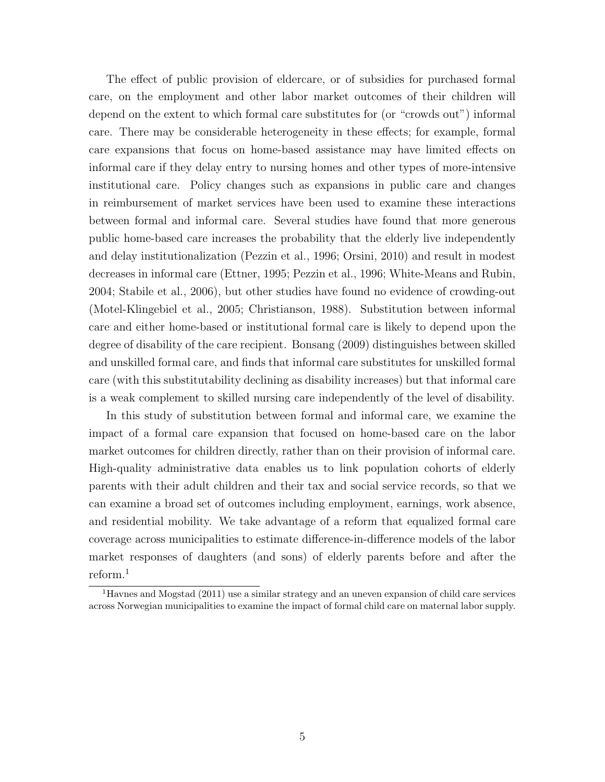The effect of public provision of eldercare, or of subsidies for purchased formal care, on the employment and other labor market outcomes of their children will depend on the extent to which formal care substitutes for (or "crowds out") informal care. There may be considerable heterogeneity in these effects; for example, formal care expansions that focus on home-based assistance may have limited effects on informal care if they delay entry to nursing homes and other types of more-intensive institutional care. Policy changes such as expansions in public care and changes in reimbursement of market services have been used to examine these interactions between formal and informal care. Several studies have found that more generous public home-based care increases the probability that the elderly live independently and delay institutionalization (Pezzin et al., 1996; Orsini, 2010) and result in modest decreases in informal care (Ettner, 1995; Pezzin et al., 1996; White-Means and Rubin, 2004; Stabile et al., 2006), but other studies have found no evidence of crowding-out (Motel-Klingebiel et al., 2005; Christianson, 1988). Substitution between informal care and either home-based or institutional formal care is likely to depend upon the degree of disability of the care recipient. Bonsang (2009) distinguishes between skilled and unskilled formal care, and finds that informal care substitutes for unskilled formal care (with this substitutability declining as disability increases) but that informal care is a weak complement to skilled nursing care independently of the level of disability.

In this study of substitution between formal and informal care, we examine the impact of a formal care expansion that focused on home-based care on the labor market outcomes for children directly, rather than on their provision of informal care. High-quality administrative data enables us to link population cohorts of elderly parents with their adult children and their tax and social service records, so that we can examine a broad set of outcomes including employment, earnings, work absence, and residential mobility. We take advantage of a reform that equalized formal care coverage across municipalities to estimate difference-in-difference models of the labor market responses of daughters (and sons) of elderly parents before and after the reform.<sup>1</sup>

<sup>&</sup>lt;sup>1</sup>Havnes and Mogstad (2011) use a similar strategy and an uneven expansion of child care services across Norwegian municipalities to examine the impact of formal child care on maternal labor supply.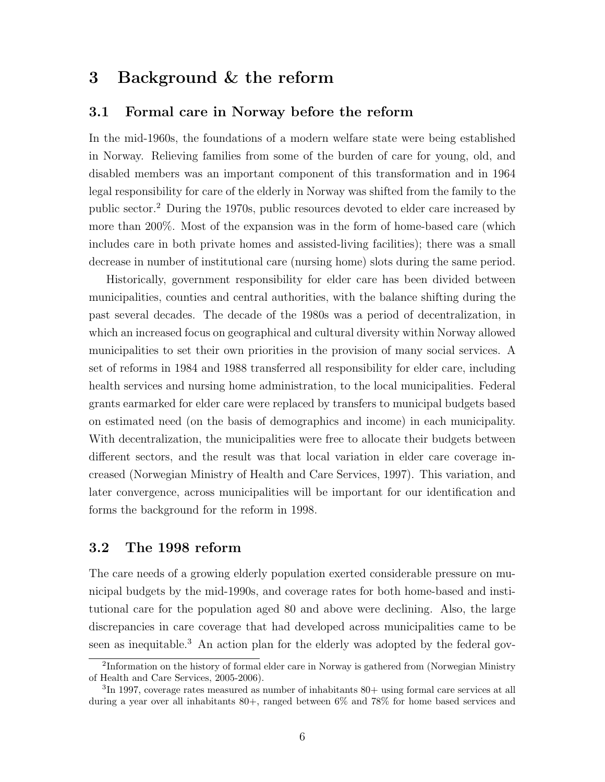## 3 Background & the reform

#### 3.1 Formal care in Norway before the reform

In the mid-1960s, the foundations of a modern welfare state were being established in Norway. Relieving families from some of the burden of care for young, old, and disabled members was an important component of this transformation and in 1964 legal responsibility for care of the elderly in Norway was shifted from the family to the public sector.<sup>2</sup> During the 1970s, public resources devoted to elder care increased by more than 200%. Most of the expansion was in the form of home-based care (which includes care in both private homes and assisted-living facilities); there was a small decrease in number of institutional care (nursing home) slots during the same period.

Historically, government responsibility for elder care has been divided between municipalities, counties and central authorities, with the balance shifting during the past several decades. The decade of the 1980s was a period of decentralization, in which an increased focus on geographical and cultural diversity within Norway allowed municipalities to set their own priorities in the provision of many social services. A set of reforms in 1984 and 1988 transferred all responsibility for elder care, including health services and nursing home administration, to the local municipalities. Federal grants earmarked for elder care were replaced by transfers to municipal budgets based on estimated need (on the basis of demographics and income) in each municipality. With decentralization, the municipalities were free to allocate their budgets between different sectors, and the result was that local variation in elder care coverage increased (Norwegian Ministry of Health and Care Services, 1997). This variation, and later convergence, across municipalities will be important for our identification and forms the background for the reform in 1998.

#### 3.2 The 1998 reform

The care needs of a growing elderly population exerted considerable pressure on municipal budgets by the mid-1990s, and coverage rates for both home-based and institutional care for the population aged 80 and above were declining. Also, the large discrepancies in care coverage that had developed across municipalities came to be seen as inequitable.<sup>3</sup> An action plan for the elderly was adopted by the federal gov-

<sup>&</sup>lt;sup>2</sup>Information on the history of formal elder care in Norway is gathered from (Norwegian Ministry of Health and Care Services, 2005-2006).

 ${}^{3}\text{In}$  1997, coverage rates measured as number of inhabitants 80+ using formal care services at all during a year over all inhabitants 80+, ranged between 6% and 78% for home based services and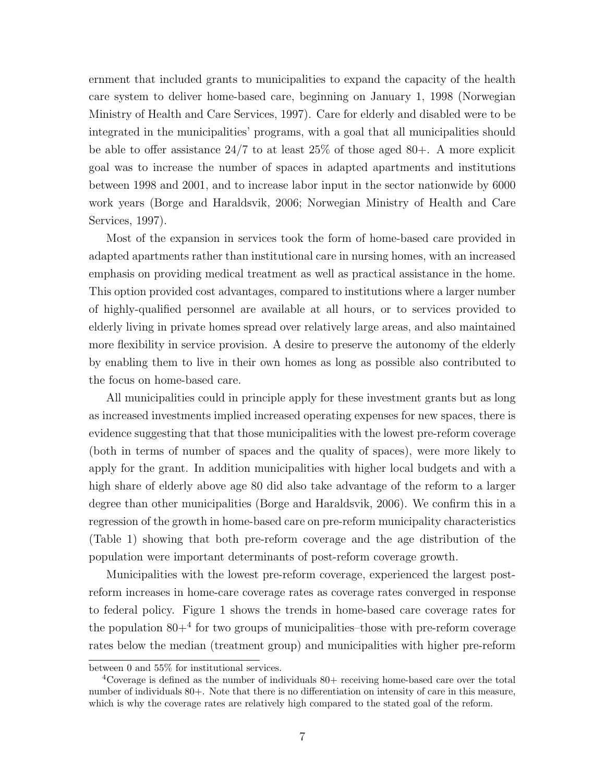ernment that included grants to municipalities to expand the capacity of the health care system to deliver home-based care, beginning on January 1, 1998 (Norwegian Ministry of Health and Care Services, 1997). Care for elderly and disabled were to be integrated in the municipalities' programs, with a goal that all municipalities should be able to offer assistance 24/7 to at least 25% of those aged 80+. A more explicit goal was to increase the number of spaces in adapted apartments and institutions between 1998 and 2001, and to increase labor input in the sector nationwide by 6000 work years (Borge and Haraldsvik, 2006; Norwegian Ministry of Health and Care Services, 1997).

Most of the expansion in services took the form of home-based care provided in adapted apartments rather than institutional care in nursing homes, with an increased emphasis on providing medical treatment as well as practical assistance in the home. This option provided cost advantages, compared to institutions where a larger number of highly-qualified personnel are available at all hours, or to services provided to elderly living in private homes spread over relatively large areas, and also maintained more flexibility in service provision. A desire to preserve the autonomy of the elderly by enabling them to live in their own homes as long as possible also contributed to the focus on home-based care.

All municipalities could in principle apply for these investment grants but as long as increased investments implied increased operating expenses for new spaces, there is evidence suggesting that that those municipalities with the lowest pre-reform coverage (both in terms of number of spaces and the quality of spaces), were more likely to apply for the grant. In addition municipalities with higher local budgets and with a high share of elderly above age 80 did also take advantage of the reform to a larger degree than other municipalities (Borge and Haraldsvik, 2006). We confirm this in a regression of the growth in home-based care on pre-reform municipality characteristics (Table 1) showing that both pre-reform coverage and the age distribution of the population were important determinants of post-reform coverage growth.

Municipalities with the lowest pre-reform coverage, experienced the largest postreform increases in home-care coverage rates as coverage rates converged in response to federal policy. Figure 1 shows the trends in home-based care coverage rates for the population 80+<sup>4</sup> for two groups of municipalities–those with pre-reform coverage rates below the median (treatment group) and municipalities with higher pre-reform

between 0 and 55% for institutional services.

 $4^{\circ}$ Coverage is defined as the number of individuals 80+ receiving home-based care over the total number of individuals 80+. Note that there is no differentiation on intensity of care in this measure, which is why the coverage rates are relatively high compared to the stated goal of the reform.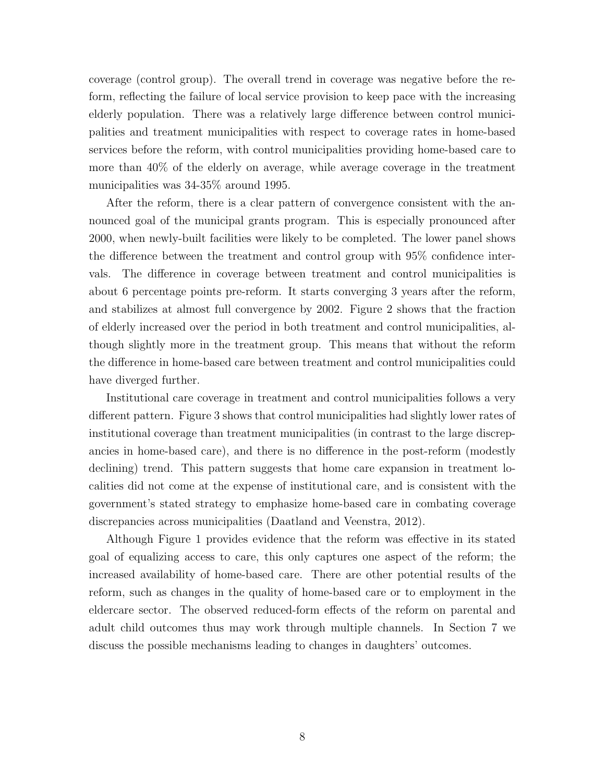coverage (control group). The overall trend in coverage was negative before the reform, reflecting the failure of local service provision to keep pace with the increasing elderly population. There was a relatively large difference between control municipalities and treatment municipalities with respect to coverage rates in home-based services before the reform, with control municipalities providing home-based care to more than 40% of the elderly on average, while average coverage in the treatment municipalities was 34-35% around 1995.

After the reform, there is a clear pattern of convergence consistent with the announced goal of the municipal grants program. This is especially pronounced after 2000, when newly-built facilities were likely to be completed. The lower panel shows the difference between the treatment and control group with 95% confidence intervals. The difference in coverage between treatment and control municipalities is about 6 percentage points pre-reform. It starts converging 3 years after the reform, and stabilizes at almost full convergence by 2002. Figure 2 shows that the fraction of elderly increased over the period in both treatment and control municipalities, although slightly more in the treatment group. This means that without the reform the difference in home-based care between treatment and control municipalities could have diverged further.

Institutional care coverage in treatment and control municipalities follows a very different pattern. Figure 3 shows that control municipalities had slightly lower rates of institutional coverage than treatment municipalities (in contrast to the large discrepancies in home-based care), and there is no difference in the post-reform (modestly declining) trend. This pattern suggests that home care expansion in treatment localities did not come at the expense of institutional care, and is consistent with the government's stated strategy to emphasize home-based care in combating coverage discrepancies across municipalities (Daatland and Veenstra, 2012).

Although Figure 1 provides evidence that the reform was effective in its stated goal of equalizing access to care, this only captures one aspect of the reform; the increased availability of home-based care. There are other potential results of the reform, such as changes in the quality of home-based care or to employment in the eldercare sector. The observed reduced-form effects of the reform on parental and adult child outcomes thus may work through multiple channels. In Section 7 we discuss the possible mechanisms leading to changes in daughters' outcomes.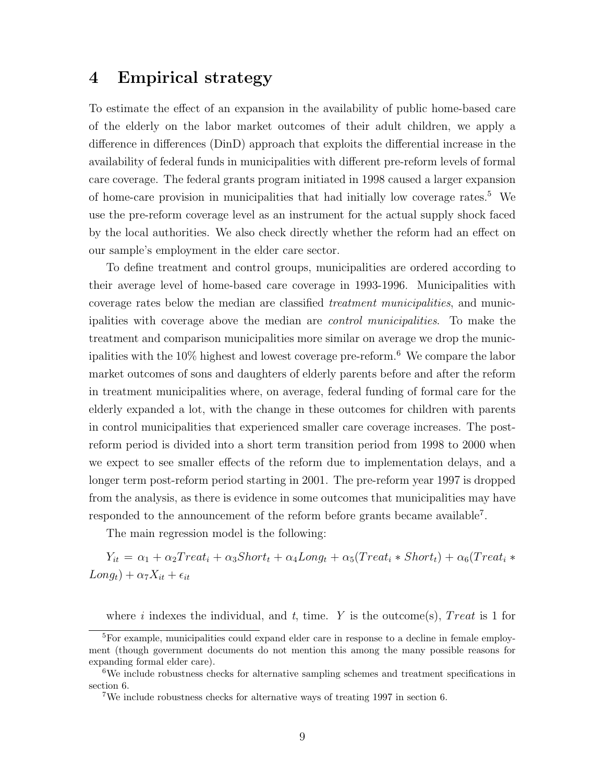## 4 Empirical strategy

To estimate the effect of an expansion in the availability of public home-based care of the elderly on the labor market outcomes of their adult children, we apply a difference in differences (DinD) approach that exploits the differential increase in the availability of federal funds in municipalities with different pre-reform levels of formal care coverage. The federal grants program initiated in 1998 caused a larger expansion of home-care provision in municipalities that had initially low coverage rates.<sup>5</sup> We use the pre-reform coverage level as an instrument for the actual supply shock faced by the local authorities. We also check directly whether the reform had an effect on our sample's employment in the elder care sector.

To define treatment and control groups, municipalities are ordered according to their average level of home-based care coverage in 1993-1996. Municipalities with coverage rates below the median are classified treatment municipalities, and municipalities with coverage above the median are control municipalities. To make the treatment and comparison municipalities more similar on average we drop the municipalities with the 10% highest and lowest coverage pre-reform.<sup>6</sup> We compare the labor market outcomes of sons and daughters of elderly parents before and after the reform in treatment municipalities where, on average, federal funding of formal care for the elderly expanded a lot, with the change in these outcomes for children with parents in control municipalities that experienced smaller care coverage increases. The postreform period is divided into a short term transition period from 1998 to 2000 when we expect to see smaller effects of the reform due to implementation delays, and a longer term post-reform period starting in 2001. The pre-reform year 1997 is dropped from the analysis, as there is evidence in some outcomes that municipalities may have responded to the announcement of the reform before grants became available<sup>7</sup>.

The main regression model is the following:

 $Y_{it} = \alpha_1 + \alpha_2 Treat_i + \alpha_3 Short_t + \alpha_4 Long_t + \alpha_5 (Treat_i * Short_t) + \alpha_6 (Treat_i *$  $Long_t) + \alpha_7 X_{it} + \epsilon_{it}$ 

where i indexes the individual, and t, time. Y is the outcome(s), Treat is 1 for

<sup>&</sup>lt;sup>5</sup>For example, municipalities could expand elder care in response to a decline in female employment (though government documents do not mention this among the many possible reasons for expanding formal elder care).

 $6$ We include robustness checks for alternative sampling schemes and treatment specifications in section 6.

<sup>7</sup>We include robustness checks for alternative ways of treating 1997 in section 6.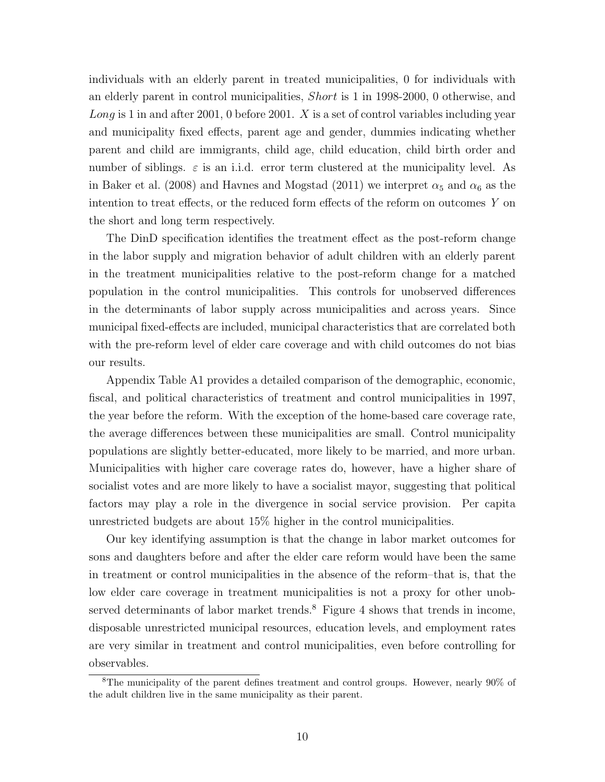individuals with an elderly parent in treated municipalities, 0 for individuals with an elderly parent in control municipalities, Short is 1 in 1998-2000, 0 otherwise, and Long is 1 in and after 2001, 0 before 2001.  $X$  is a set of control variables including year and municipality fixed effects, parent age and gender, dummies indicating whether parent and child are immigrants, child age, child education, child birth order and number of siblings.  $\varepsilon$  is an i.i.d. error term clustered at the municipality level. As in Baker et al. (2008) and Havnes and Mogstad (2011) we interpret  $\alpha_5$  and  $\alpha_6$  as the intention to treat effects, or the reduced form effects of the reform on outcomes Y on the short and long term respectively.

The DinD specification identifies the treatment effect as the post-reform change in the labor supply and migration behavior of adult children with an elderly parent in the treatment municipalities relative to the post-reform change for a matched population in the control municipalities. This controls for unobserved differences in the determinants of labor supply across municipalities and across years. Since municipal fixed-effects are included, municipal characteristics that are correlated both with the pre-reform level of elder care coverage and with child outcomes do not bias our results.

Appendix Table A1 provides a detailed comparison of the demographic, economic, fiscal, and political characteristics of treatment and control municipalities in 1997, the year before the reform. With the exception of the home-based care coverage rate, the average differences between these municipalities are small. Control municipality populations are slightly better-educated, more likely to be married, and more urban. Municipalities with higher care coverage rates do, however, have a higher share of socialist votes and are more likely to have a socialist mayor, suggesting that political factors may play a role in the divergence in social service provision. Per capita unrestricted budgets are about 15% higher in the control municipalities.

Our key identifying assumption is that the change in labor market outcomes for sons and daughters before and after the elder care reform would have been the same in treatment or control municipalities in the absence of the reform–that is, that the low elder care coverage in treatment municipalities is not a proxy for other unobserved determinants of labor market trends. $8$  Figure 4 shows that trends in income, disposable unrestricted municipal resources, education levels, and employment rates are very similar in treatment and control municipalities, even before controlling for observables.

<sup>8</sup>The municipality of the parent defines treatment and control groups. However, nearly 90% of the adult children live in the same municipality as their parent.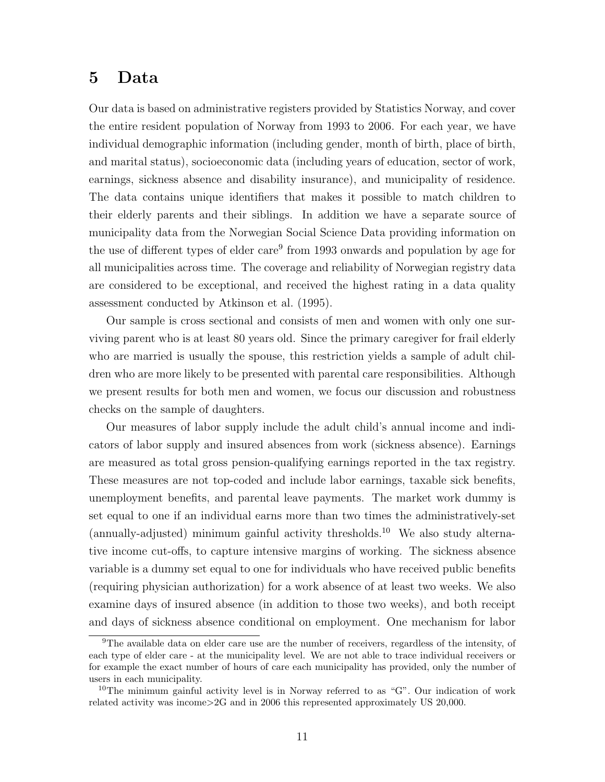## 5 Data

Our data is based on administrative registers provided by Statistics Norway, and cover the entire resident population of Norway from 1993 to 2006. For each year, we have individual demographic information (including gender, month of birth, place of birth, and marital status), socioeconomic data (including years of education, sector of work, earnings, sickness absence and disability insurance), and municipality of residence. The data contains unique identifiers that makes it possible to match children to their elderly parents and their siblings. In addition we have a separate source of municipality data from the Norwegian Social Science Data providing information on the use of different types of elder care<sup>9</sup> from 1993 onwards and population by age for all municipalities across time. The coverage and reliability of Norwegian registry data are considered to be exceptional, and received the highest rating in a data quality assessment conducted by Atkinson et al. (1995).

Our sample is cross sectional and consists of men and women with only one surviving parent who is at least 80 years old. Since the primary caregiver for frail elderly who are married is usually the spouse, this restriction yields a sample of adult children who are more likely to be presented with parental care responsibilities. Although we present results for both men and women, we focus our discussion and robustness checks on the sample of daughters.

Our measures of labor supply include the adult child's annual income and indicators of labor supply and insured absences from work (sickness absence). Earnings are measured as total gross pension-qualifying earnings reported in the tax registry. These measures are not top-coded and include labor earnings, taxable sick benefits, unemployment benefits, and parental leave payments. The market work dummy is set equal to one if an individual earns more than two times the administratively-set  $(annually-adjusted)$  minimum gainful activity thresholds.<sup>10</sup> We also study alternative income cut-offs, to capture intensive margins of working. The sickness absence variable is a dummy set equal to one for individuals who have received public benefits (requiring physician authorization) for a work absence of at least two weeks. We also examine days of insured absence (in addition to those two weeks), and both receipt and days of sickness absence conditional on employment. One mechanism for labor

<sup>9</sup>The available data on elder care use are the number of receivers, regardless of the intensity, of each type of elder care - at the municipality level. We are not able to trace individual receivers or for example the exact number of hours of care each municipality has provided, only the number of users in each municipality.

<sup>&</sup>lt;sup>10</sup>The minimum gainful activity level is in Norway referred to as "G". Our indication of work related activity was income>2G and in 2006 this represented approximately US 20,000.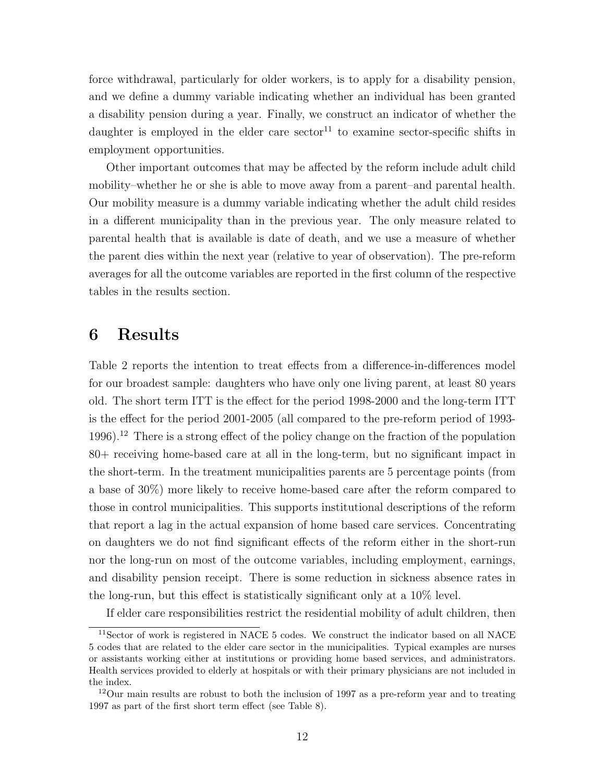force withdrawal, particularly for older workers, is to apply for a disability pension, and we define a dummy variable indicating whether an individual has been granted a disability pension during a year. Finally, we construct an indicator of whether the daughter is employed in the elder care  $\arctan 11$  to examine sector-specific shifts in employment opportunities.

Other important outcomes that may be affected by the reform include adult child mobility–whether he or she is able to move away from a parent–and parental health. Our mobility measure is a dummy variable indicating whether the adult child resides in a different municipality than in the previous year. The only measure related to parental health that is available is date of death, and we use a measure of whether the parent dies within the next year (relative to year of observation). The pre-reform averages for all the outcome variables are reported in the first column of the respective tables in the results section.

## 6 Results

Table 2 reports the intention to treat effects from a difference-in-differences model for our broadest sample: daughters who have only one living parent, at least 80 years old. The short term ITT is the effect for the period 1998-2000 and the long-term ITT is the effect for the period 2001-2005 (all compared to the pre-reform period of 1993- 1996).<sup>12</sup> There is a strong effect of the policy change on the fraction of the population 80+ receiving home-based care at all in the long-term, but no significant impact in the short-term. In the treatment municipalities parents are 5 percentage points (from a base of 30%) more likely to receive home-based care after the reform compared to those in control municipalities. This supports institutional descriptions of the reform that report a lag in the actual expansion of home based care services. Concentrating on daughters we do not find significant effects of the reform either in the short-run nor the long-run on most of the outcome variables, including employment, earnings, and disability pension receipt. There is some reduction in sickness absence rates in the long-run, but this effect is statistically significant only at a 10% level.

If elder care responsibilities restrict the residential mobility of adult children, then

<sup>11</sup>Sector of work is registered in NACE 5 codes. We construct the indicator based on all NACE 5 codes that are related to the elder care sector in the municipalities. Typical examples are nurses or assistants working either at institutions or providing home based services, and administrators. Health services provided to elderly at hospitals or with their primary physicians are not included in the index.

<sup>12</sup>Our main results are robust to both the inclusion of 1997 as a pre-reform year and to treating 1997 as part of the first short term effect (see Table 8).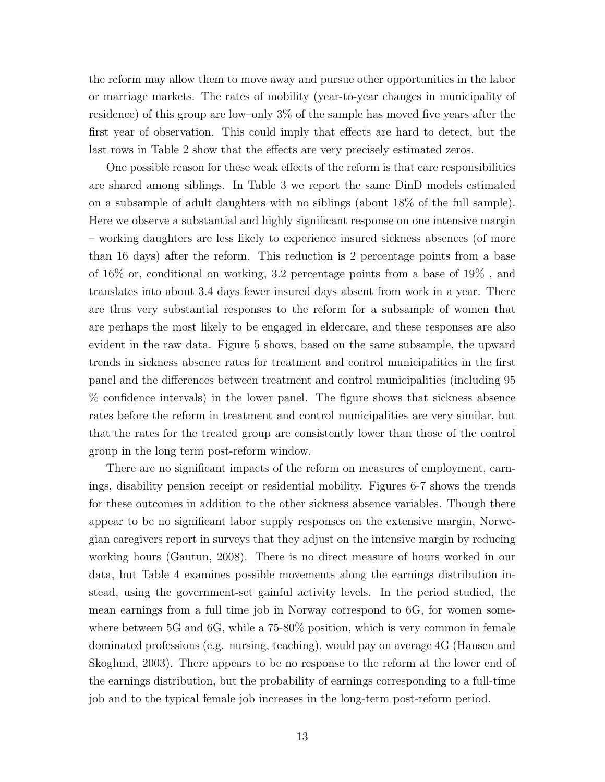the reform may allow them to move away and pursue other opportunities in the labor or marriage markets. The rates of mobility (year-to-year changes in municipality of residence) of this group are low–only 3% of the sample has moved five years after the first year of observation. This could imply that effects are hard to detect, but the last rows in Table 2 show that the effects are very precisely estimated zeros.

One possible reason for these weak effects of the reform is that care responsibilities are shared among siblings. In Table 3 we report the same DinD models estimated on a subsample of adult daughters with no siblings (about 18% of the full sample). Here we observe a substantial and highly significant response on one intensive margin – working daughters are less likely to experience insured sickness absences (of more than 16 days) after the reform. This reduction is 2 percentage points from a base of 16% or, conditional on working, 3.2 percentage points from a base of 19% , and translates into about 3.4 days fewer insured days absent from work in a year. There are thus very substantial responses to the reform for a subsample of women that are perhaps the most likely to be engaged in eldercare, and these responses are also evident in the raw data. Figure 5 shows, based on the same subsample, the upward trends in sickness absence rates for treatment and control municipalities in the first panel and the differences between treatment and control municipalities (including 95 % confidence intervals) in the lower panel. The figure shows that sickness absence rates before the reform in treatment and control municipalities are very similar, but that the rates for the treated group are consistently lower than those of the control group in the long term post-reform window.

There are no significant impacts of the reform on measures of employment, earnings, disability pension receipt or residential mobility. Figures 6-7 shows the trends for these outcomes in addition to the other sickness absence variables. Though there appear to be no significant labor supply responses on the extensive margin, Norwegian caregivers report in surveys that they adjust on the intensive margin by reducing working hours (Gautun, 2008). There is no direct measure of hours worked in our data, but Table 4 examines possible movements along the earnings distribution instead, using the government-set gainful activity levels. In the period studied, the mean earnings from a full time job in Norway correspond to 6G, for women somewhere between 5G and 6G, while a 75-80% position, which is very common in female dominated professions (e.g. nursing, teaching), would pay on average 4G (Hansen and Skoglund, 2003). There appears to be no response to the reform at the lower end of the earnings distribution, but the probability of earnings corresponding to a full-time job and to the typical female job increases in the long-term post-reform period.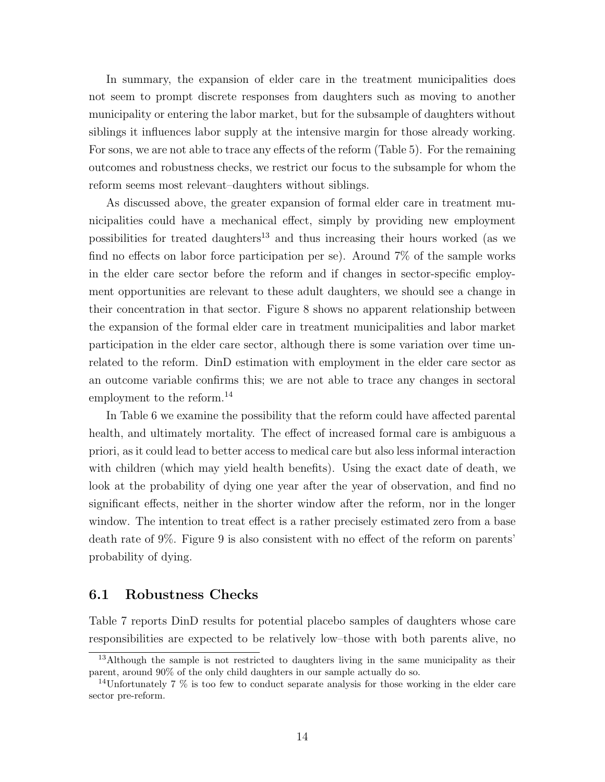In summary, the expansion of elder care in the treatment municipalities does not seem to prompt discrete responses from daughters such as moving to another municipality or entering the labor market, but for the subsample of daughters without siblings it influences labor supply at the intensive margin for those already working. For sons, we are not able to trace any effects of the reform (Table 5). For the remaining outcomes and robustness checks, we restrict our focus to the subsample for whom the reform seems most relevant–daughters without siblings.

As discussed above, the greater expansion of formal elder care in treatment municipalities could have a mechanical effect, simply by providing new employment possibilities for treated daughters<sup>13</sup> and thus increasing their hours worked (as we find no effects on labor force participation per se). Around 7% of the sample works in the elder care sector before the reform and if changes in sector-specific employment opportunities are relevant to these adult daughters, we should see a change in their concentration in that sector. Figure 8 shows no apparent relationship between the expansion of the formal elder care in treatment municipalities and labor market participation in the elder care sector, although there is some variation over time unrelated to the reform. DinD estimation with employment in the elder care sector as an outcome variable confirms this; we are not able to trace any changes in sectoral employment to the reform.<sup>14</sup>

In Table 6 we examine the possibility that the reform could have affected parental health, and ultimately mortality. The effect of increased formal care is ambiguous a priori, as it could lead to better access to medical care but also less informal interaction with children (which may yield health benefits). Using the exact date of death, we look at the probability of dying one year after the year of observation, and find no significant effects, neither in the shorter window after the reform, nor in the longer window. The intention to treat effect is a rather precisely estimated zero from a base death rate of 9%. Figure 9 is also consistent with no effect of the reform on parents' probability of dying.

#### 6.1 Robustness Checks

Table 7 reports DinD results for potential placebo samples of daughters whose care responsibilities are expected to be relatively low–those with both parents alive, no

<sup>&</sup>lt;sup>13</sup>Although the sample is not restricted to daughters living in the same municipality as their parent, around 90% of the only child daughters in our sample actually do so.

<sup>&</sup>lt;sup>14</sup>Unfortunately 7  $\%$  is too few to conduct separate analysis for those working in the elder care sector pre-reform.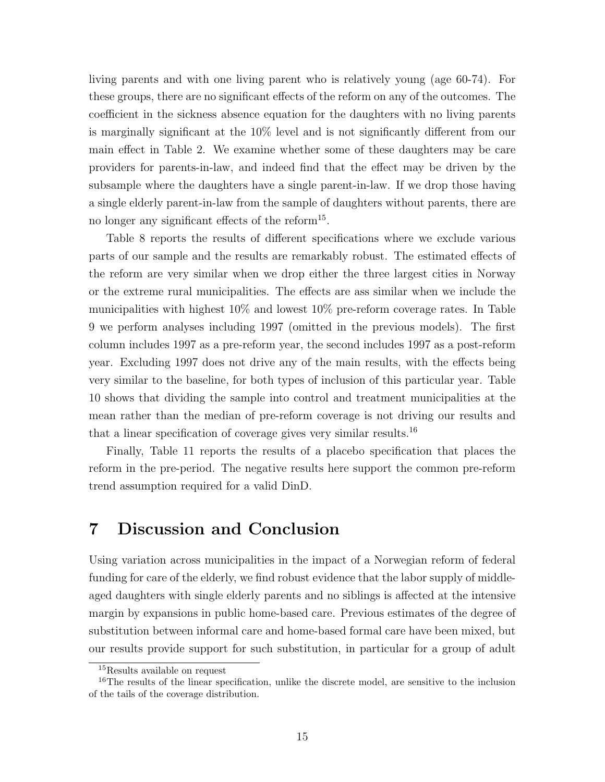living parents and with one living parent who is relatively young (age 60-74). For these groups, there are no significant effects of the reform on any of the outcomes. The coefficient in the sickness absence equation for the daughters with no living parents is marginally significant at the 10% level and is not significantly different from our main effect in Table 2. We examine whether some of these daughters may be care providers for parents-in-law, and indeed find that the effect may be driven by the subsample where the daughters have a single parent-in-law. If we drop those having a single elderly parent-in-law from the sample of daughters without parents, there are no longer any significant effects of the reform<sup>15</sup>.

Table 8 reports the results of different specifications where we exclude various parts of our sample and the results are remarkably robust. The estimated effects of the reform are very similar when we drop either the three largest cities in Norway or the extreme rural municipalities. The effects are ass similar when we include the municipalities with highest 10% and lowest 10% pre-reform coverage rates. In Table 9 we perform analyses including 1997 (omitted in the previous models). The first column includes 1997 as a pre-reform year, the second includes 1997 as a post-reform year. Excluding 1997 does not drive any of the main results, with the effects being very similar to the baseline, for both types of inclusion of this particular year. Table 10 shows that dividing the sample into control and treatment municipalities at the mean rather than the median of pre-reform coverage is not driving our results and that a linear specification of coverage gives very similar results.<sup>16</sup>

Finally, Table 11 reports the results of a placebo specification that places the reform in the pre-period. The negative results here support the common pre-reform trend assumption required for a valid DinD.

## 7 Discussion and Conclusion

Using variation across municipalities in the impact of a Norwegian reform of federal funding for care of the elderly, we find robust evidence that the labor supply of middleaged daughters with single elderly parents and no siblings is affected at the intensive margin by expansions in public home-based care. Previous estimates of the degree of substitution between informal care and home-based formal care have been mixed, but our results provide support for such substitution, in particular for a group of adult

<sup>&</sup>lt;sup>15</sup>Results available on request

<sup>&</sup>lt;sup>16</sup>The results of the linear specification, unlike the discrete model, are sensitive to the inclusion of the tails of the coverage distribution.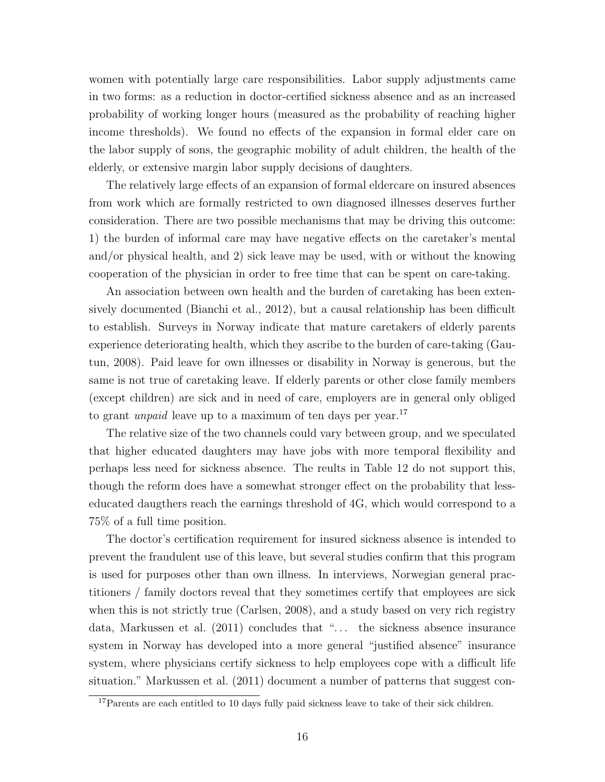women with potentially large care responsibilities. Labor supply adjustments came in two forms: as a reduction in doctor-certified sickness absence and as an increased probability of working longer hours (measured as the probability of reaching higher income thresholds). We found no effects of the expansion in formal elder care on the labor supply of sons, the geographic mobility of adult children, the health of the elderly, or extensive margin labor supply decisions of daughters.

The relatively large effects of an expansion of formal eldercare on insured absences from work which are formally restricted to own diagnosed illnesses deserves further consideration. There are two possible mechanisms that may be driving this outcome: 1) the burden of informal care may have negative effects on the caretaker's mental and/or physical health, and 2) sick leave may be used, with or without the knowing cooperation of the physician in order to free time that can be spent on care-taking.

An association between own health and the burden of caretaking has been extensively documented (Bianchi et al., 2012), but a causal relationship has been difficult to establish. Surveys in Norway indicate that mature caretakers of elderly parents experience deteriorating health, which they ascribe to the burden of care-taking (Gautun, 2008). Paid leave for own illnesses or disability in Norway is generous, but the same is not true of caretaking leave. If elderly parents or other close family members (except children) are sick and in need of care, employers are in general only obliged to grant *unpaid* leave up to a maximum of ten days per year.<sup>17</sup>

The relative size of the two channels could vary between group, and we speculated that higher educated daughters may have jobs with more temporal flexibility and perhaps less need for sickness absence. The reults in Table 12 do not support this, though the reform does have a somewhat stronger effect on the probability that lesseducated daugthers reach the earnings threshold of 4G, which would correspond to a 75% of a full time position.

The doctor's certification requirement for insured sickness absence is intended to prevent the fraudulent use of this leave, but several studies confirm that this program is used for purposes other than own illness. In interviews, Norwegian general practitioners / family doctors reveal that they sometimes certify that employees are sick when this is not strictly true (Carlsen, 2008), and a study based on very rich registry data, Markussen et al. (2011) concludes that "... the sickness absence insurance system in Norway has developed into a more general "justified absence" insurance system, where physicians certify sickness to help employees cope with a difficult life situation." Markussen et al. (2011) document a number of patterns that suggest con-

<sup>&</sup>lt;sup>17</sup>Parents are each entitled to 10 days fully paid sickness leave to take of their sick children.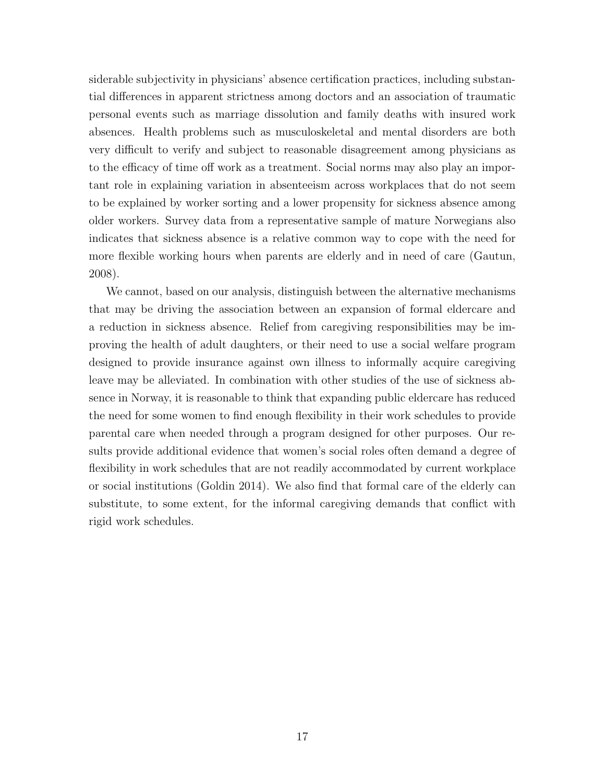siderable subjectivity in physicians' absence certification practices, including substantial differences in apparent strictness among doctors and an association of traumatic personal events such as marriage dissolution and family deaths with insured work absences. Health problems such as musculoskeletal and mental disorders are both very difficult to verify and subject to reasonable disagreement among physicians as to the efficacy of time off work as a treatment. Social norms may also play an important role in explaining variation in absenteeism across workplaces that do not seem to be explained by worker sorting and a lower propensity for sickness absence among older workers. Survey data from a representative sample of mature Norwegians also indicates that sickness absence is a relative common way to cope with the need for more flexible working hours when parents are elderly and in need of care (Gautun, 2008).

We cannot, based on our analysis, distinguish between the alternative mechanisms that may be driving the association between an expansion of formal eldercare and a reduction in sickness absence. Relief from caregiving responsibilities may be improving the health of adult daughters, or their need to use a social welfare program designed to provide insurance against own illness to informally acquire caregiving leave may be alleviated. In combination with other studies of the use of sickness absence in Norway, it is reasonable to think that expanding public eldercare has reduced the need for some women to find enough flexibility in their work schedules to provide parental care when needed through a program designed for other purposes. Our results provide additional evidence that women's social roles often demand a degree of flexibility in work schedules that are not readily accommodated by current workplace or social institutions (Goldin 2014). We also find that formal care of the elderly can substitute, to some extent, for the informal caregiving demands that conflict with rigid work schedules.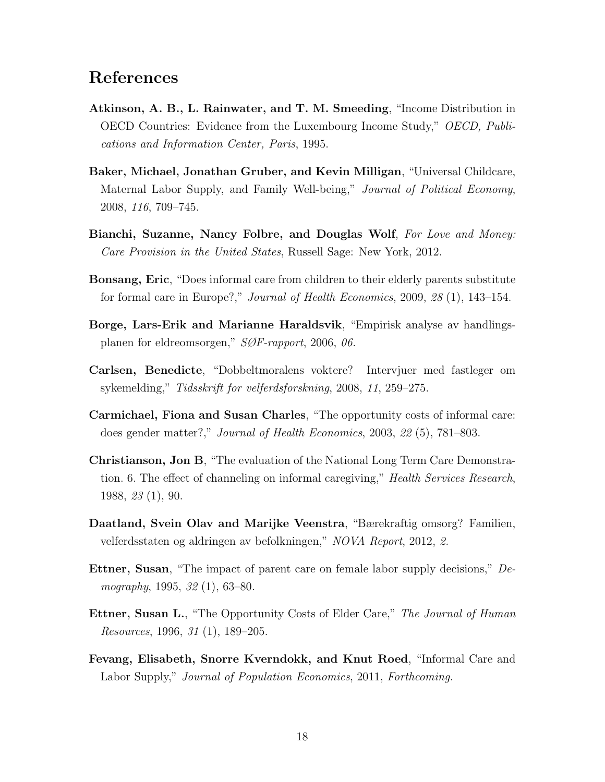## References

- Atkinson, A. B., L. Rainwater, and T. M. Smeeding, "Income Distribution in OECD Countries: Evidence from the Luxembourg Income Study," OECD, Publications and Information Center, Paris, 1995.
- Baker, Michael, Jonathan Gruber, and Kevin Milligan, "Universal Childcare, Maternal Labor Supply, and Family Well-being," *Journal of Political Economy*, 2008, 116, 709–745.
- Bianchi, Suzanne, Nancy Folbre, and Douglas Wolf, For Love and Money: Care Provision in the United States, Russell Sage: New York, 2012.
- **Bonsang, Eric**, "Does informal care from children to their elderly parents substitute for formal care in Europe?," Journal of Health Economics, 2009, 28 (1), 143–154.
- Borge, Lars-Erik and Marianne Haraldsvik, "Empirisk analyse av handlingsplanen for eldreomsorgen," SØF-rapport, 2006, 06.
- Carlsen, Benedicte, "Dobbeltmoralens voktere? Intervjuer med fastleger om sykemelding," Tidsskrift for velferdsforskning, 2008, 11, 259–275.
- Carmichael, Fiona and Susan Charles, "The opportunity costs of informal care: does gender matter?," Journal of Health Economics, 2003, 22 (5), 781–803.
- Christianson, Jon B, "The evaluation of the National Long Term Care Demonstration. 6. The effect of channeling on informal caregiving," Health Services Research, 1988, 23 (1), 90.
- Daatland, Svein Olav and Marijke Veenstra, "Bærekraftig omsorg? Familien, velferdsstaten og aldringen av befolkningen," NOVA Report, 2012, 2.
- Ettner, Susan, "The impact of parent care on female labor supply decisions," Demography, 1995, 32 (1), 63–80.
- **Ettner, Susan L.**, "The Opportunity Costs of Elder Care," The Journal of Human Resources, 1996, 31 (1), 189–205.
- Fevang, Elisabeth, Snorre Kverndokk, and Knut Roed, "Informal Care and Labor Supply," *Journal of Population Economics*, 2011, Forthcoming.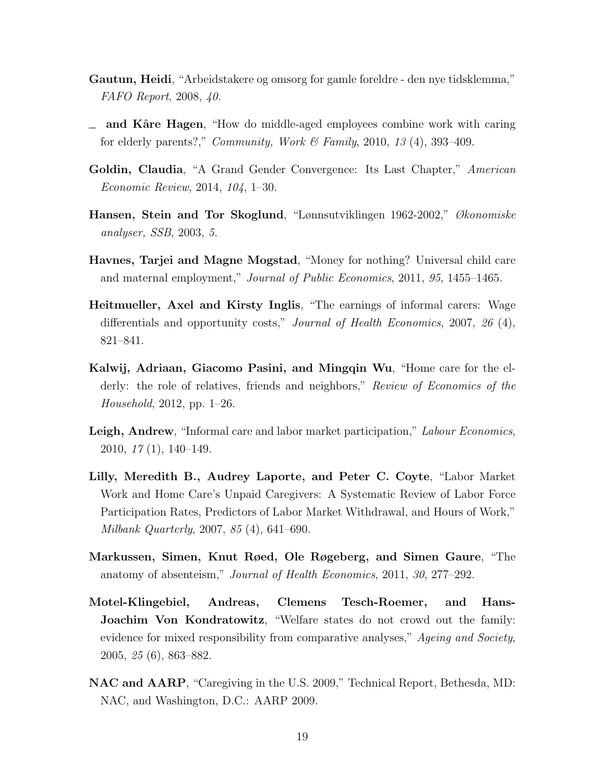- Gautun, Heidi, "Arbeidstakere og omsorg for gamle foreldre den nye tidsklemma," FAFO Report, 2008, 40.
- $\equiv$  and Kåre Hagen, "How do middle-aged employees combine work with caring for elderly parents?," *Community, Work & Family,* 2010, 13 (4), 393–409.
- Goldin, Claudia, "A Grand Gender Convergence: Its Last Chapter," American Economic Review, 2014, 104, 1–30.
- Hansen, Stein and Tor Skoglund, "Lønnsutviklingen 1962-2002," Økonomiske analyser, SSB, 2003, 5.
- Havnes, Tarjei and Magne Mogstad, "Money for nothing? Universal child care and maternal employment," Journal of Public Economics, 2011, 95, 1455–1465.
- Heitmueller, Axel and Kirsty Inglis, "The earnings of informal carers: Wage differentials and opportunity costs," *Journal of Health Economics*, 2007, 26 (4), 821–841.
- Kalwij, Adriaan, Giacomo Pasini, and Mingqin Wu, "Home care for the elderly: the role of relatives, friends and neighbors," Review of Economics of the Household, 2012, pp. 1–26.
- Leigh, Andrew, "Informal care and labor market participation," Labour Economics, 2010, 17 (1), 140–149.
- Lilly, Meredith B., Audrey Laporte, and Peter C. Coyte, "Labor Market Work and Home Care's Unpaid Caregivers: A Systematic Review of Labor Force Participation Rates, Predictors of Labor Market Withdrawal, and Hours of Work," Milbank Quarterly, 2007, 85 (4), 641–690.
- Markussen, Simen, Knut Røed, Ole Røgeberg, and Simen Gaure, "The anatomy of absenteism," Journal of Health Economics, 2011, 30, 277–292.
- Motel-Klingebiel, Andreas, Clemens Tesch-Roemer, and Hans-Joachim Von Kondratowitz, "Welfare states do not crowd out the family: evidence for mixed responsibility from comparative analyses," Ageing and Society, 2005, 25 (6), 863–882.
- NAC and AARP, "Caregiving in the U.S. 2009," Technical Report, Bethesda, MD: NAC, and Washington, D.C.: AARP 2009.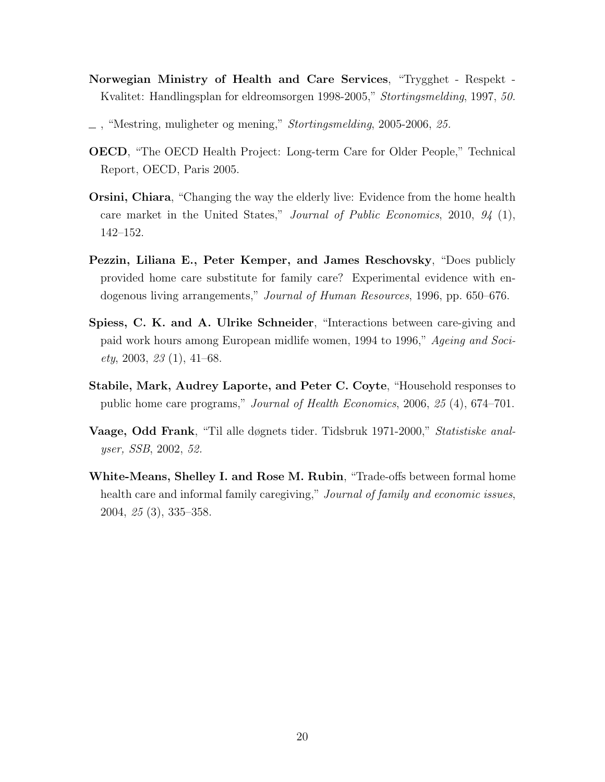- Norwegian Ministry of Health and Care Services, "Trygghet Respekt Kvalitet: Handlingsplan for eldreomsorgen 1998-2005," Stortingsmelding, 1997, 50.
- $\_\,$ , "Mestring, muligheter og mening," *Stortingsmelding*, 2005-2006, 25.
- OECD, "The OECD Health Project: Long-term Care for Older People," Technical Report, OECD, Paris 2005.
- Orsini, Chiara, "Changing the way the elderly live: Evidence from the home health care market in the United States," Journal of Public Economics, 2010, 94 (1), 142–152.
- Pezzin, Liliana E., Peter Kemper, and James Reschovsky, "Does publicly provided home care substitute for family care? Experimental evidence with endogenous living arrangements," Journal of Human Resources, 1996, pp. 650–676.
- Spiess, C. K. and A. Ulrike Schneider, "Interactions between care-giving and paid work hours among European midlife women, 1994 to 1996," Ageing and Soci $ety, 2003, 23(1), 41-68.$
- Stabile, Mark, Audrey Laporte, and Peter C. Coyte, "Household responses to public home care programs," Journal of Health Economics, 2006, 25 (4), 674–701.
- Vaage, Odd Frank, "Til alle døgnets tider. Tidsbruk 1971-2000," Statistiske analyser, SSB, 2002, 52.
- White-Means, Shelley I. and Rose M. Rubin, "Trade-offs between formal home health care and informal family caregiving," Journal of family and economic issues, 2004, 25 (3), 335–358.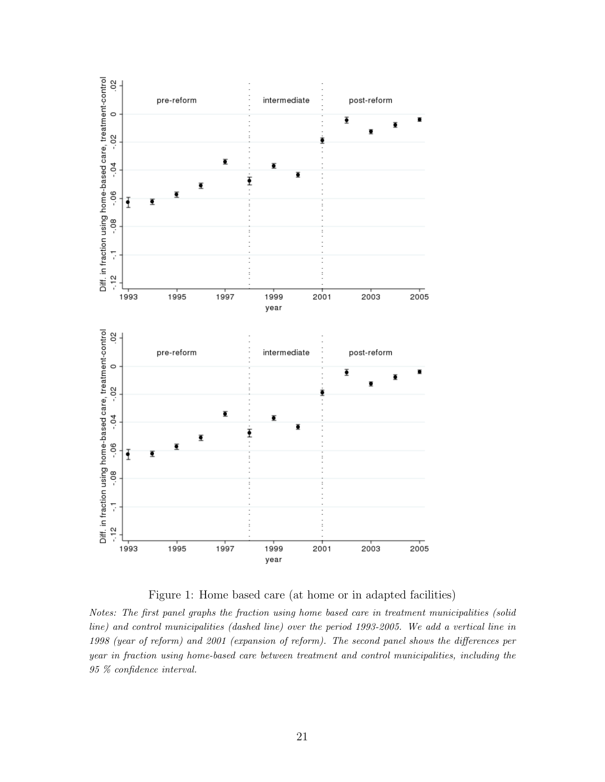

Figure 1: Home based care (at home or in adapted facilities)

Notes: The first panel graphs the fraction using home based care in treatment municipalities (solid line) and control municipalities (dashed line) over the period 1993-2005. We add a vertical line in 1998 (year of reform) and 2001 (expansion of reform). The second panel shows the differences per year in fraction using home-based care between treatment and control municipalities, including the 95 % confidence interval.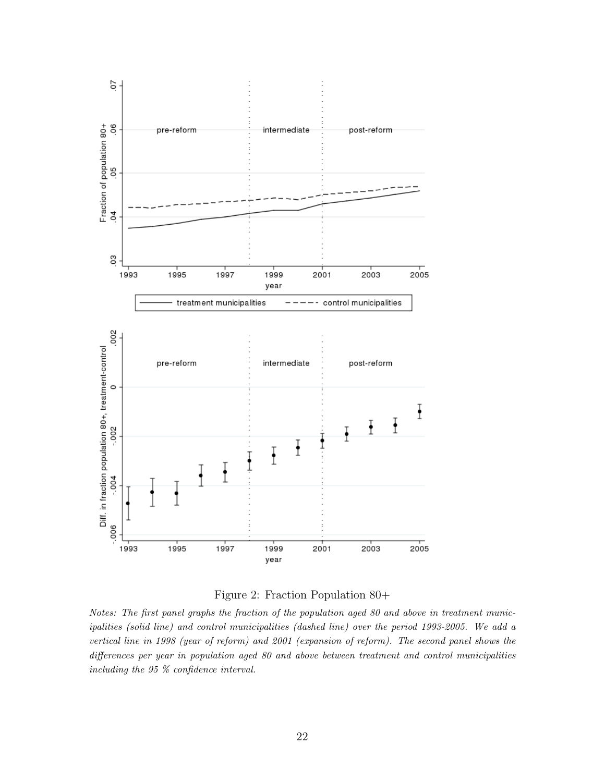

Figure 2: Fraction Population 80+

Notes: The first panel graphs the fraction of the population aged 80 and above in treatment municipalities (solid line) and control municipalities (dashed line) over the period 1993-2005. We add a vertical line in 1998 (year of reform) and 2001 (expansion of reform). The second panel shows the differences per year in population aged 80 and above between treatment and control municipalities including the 95 % confidence interval.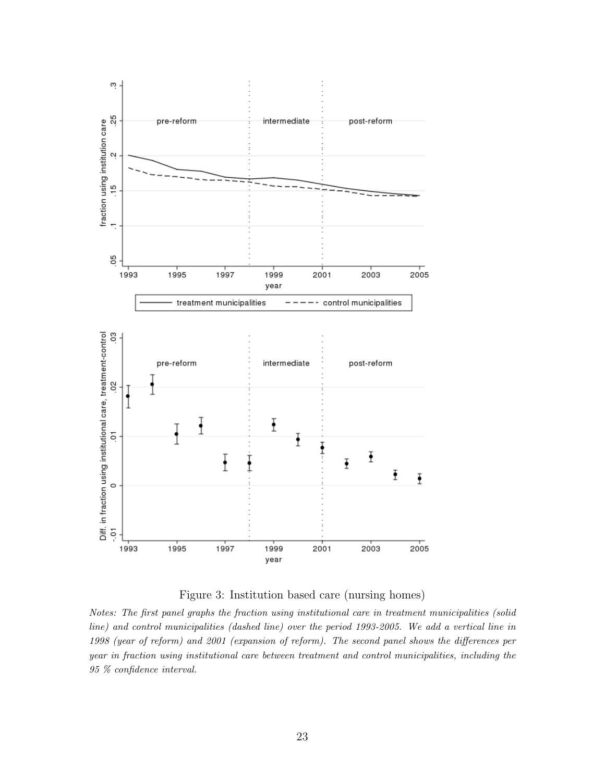

Figure 3: Institution based care (nursing homes)

Notes: The first panel graphs the fraction using institutional care in treatment municipalities (solid line) and control municipalities (dashed line) over the period 1993-2005. We add a vertical line in 1998 (year of reform) and 2001 (expansion of reform). The second panel shows the differences per year in fraction using institutional care between treatment and control municipalities, including the 95 % confidence interval.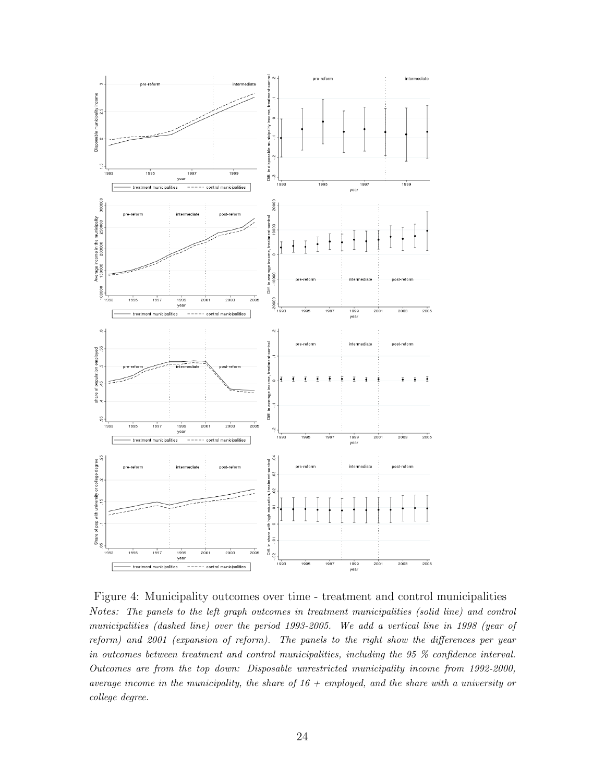

Figure 4: Municipality outcomes over time - treatment and control municipalities Notes: The panels to the left graph outcomes in treatment municipalities (solid line) and control municipalities (dashed line) over the period 1993-2005. We add a vertical line in 1998 (year of reform) and 2001 (expansion of reform). The panels to the right show the differences per year in outcomes between treatment and control municipalities, including the 95 % confidence interval. Outcomes are from the top down: Disposable unrestricted municipality income from 1992-2000, average income in the municipality, the share of  $16 + \text{employed},$  and the share with a university or college degree.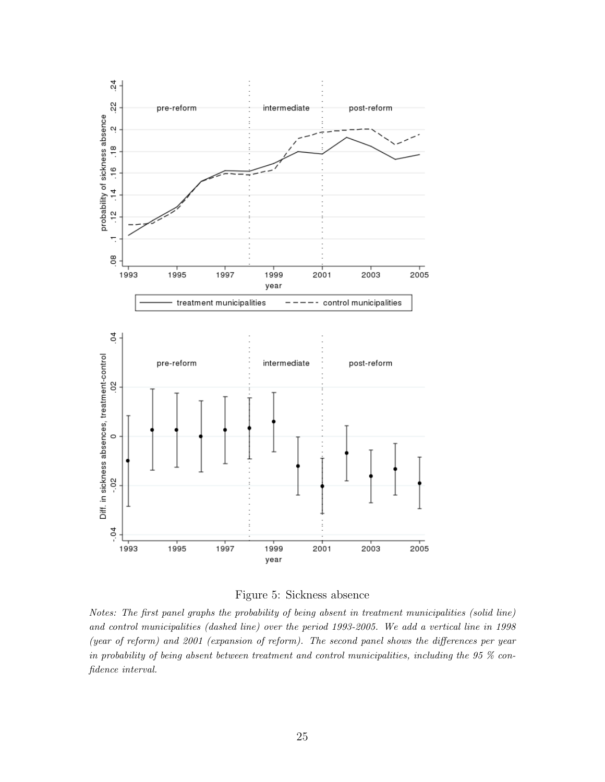

Figure 5: Sickness absence

Notes: The first panel graphs the probability of being absent in treatment municipalities (solid line) and control municipalities (dashed line) over the period 1993-2005. We add a vertical line in 1998 (year of reform) and 2001 (expansion of reform). The second panel shows the differences per year in probability of being absent between treatment and control municipalities, including the 95 % confidence interval.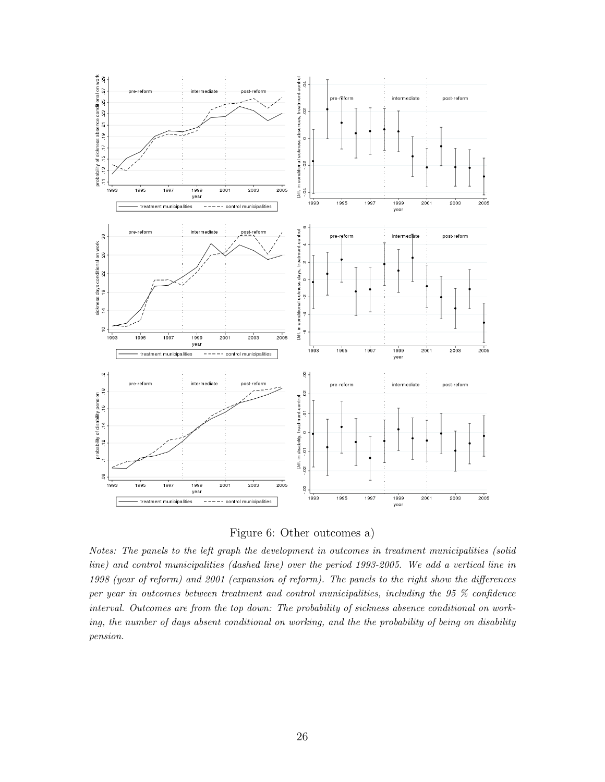

Figure 6: Other outcomes a)

Notes: The panels to the left graph the development in outcomes in treatment municipalities (solid line) and control municipalities (dashed line) over the period 1993-2005. We add a vertical line in 1998 (year of reform) and 2001 (expansion of reform). The panels to the right show the differences per year in outcomes between treatment and control municipalities, including the 95 % confidence interval. Outcomes are from the top down: The probability of sickness absence conditional on working, the number of days absent conditional on working, and the the probability of being on disability pension.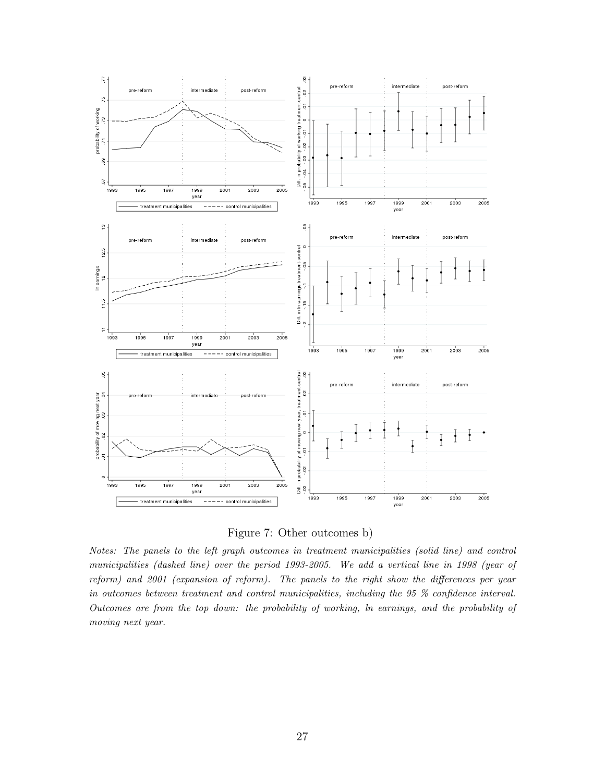

Figure 7: Other outcomes b)

Notes: The panels to the left graph outcomes in treatment municipalities (solid line) and control municipalities (dashed line) over the period 1993-2005. We add a vertical line in 1998 (year of reform) and 2001 (expansion of reform). The panels to the right show the differences per year in outcomes between treatment and control municipalities, including the 95 % confidence interval. Outcomes are from the top down: the probability of working, ln earnings, and the probability of moving next year.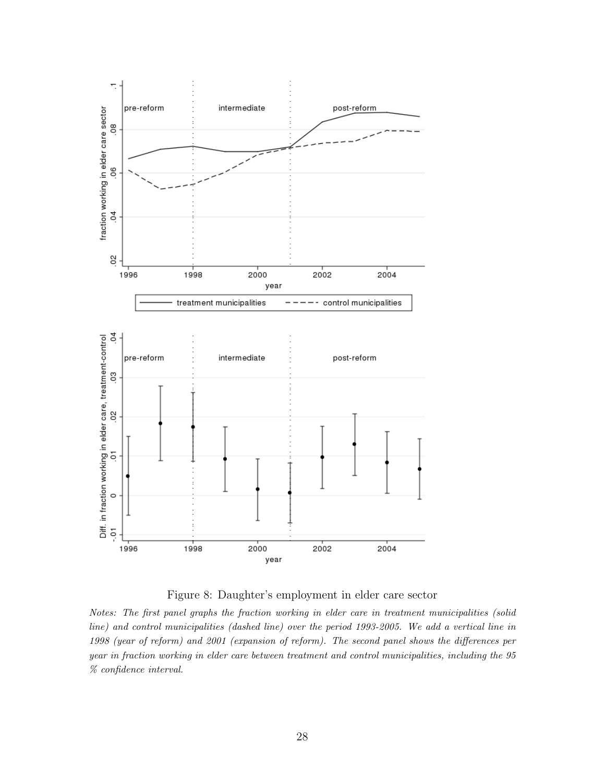

Figure 8: Daughter's employment in elder care sector

Notes: The first panel graphs the fraction working in elder care in treatment municipalities (solid line) and control municipalities (dashed line) over the period 1993-2005. We add a vertical line in 1998 (year of reform) and 2001 (expansion of reform). The second panel shows the differences per year in fraction working in elder care between treatment and control municipalities, including the 95 % confidence interval.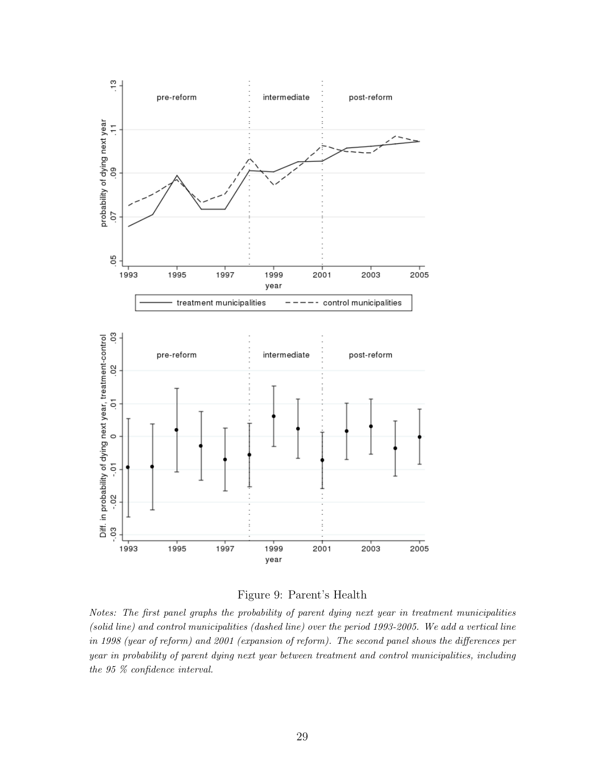

Figure 9: Parent's Health

Notes: The first panel graphs the probability of parent dying next year in treatment municipalities (solid line) and control municipalities (dashed line) over the period 1993-2005. We add a vertical line in 1998 (year of reform) and 2001 (expansion of reform). The second panel shows the differences per year in probability of parent dying next year between treatment and control municipalities, including the 95 % confidence interval.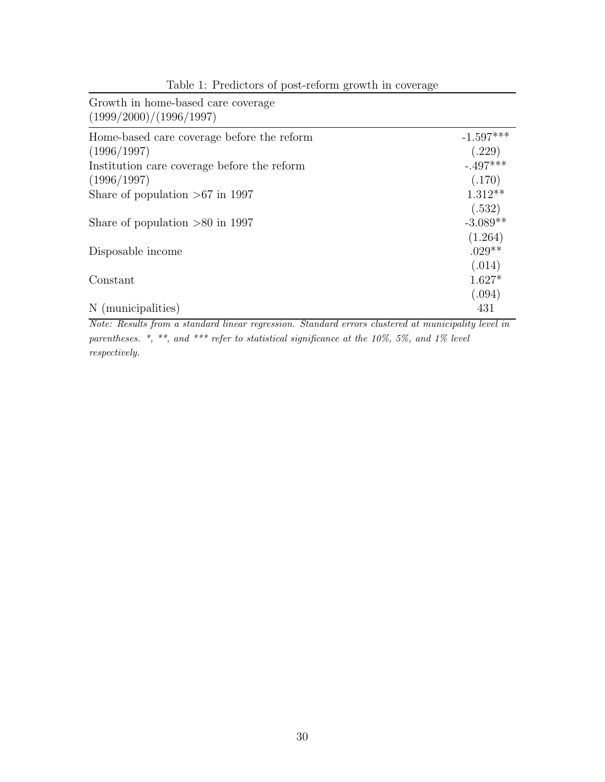| Growth in home-based care coverage<br>(1999/2000)/(1996/1997) |             |
|---------------------------------------------------------------|-------------|
| Home-based care coverage before the reform                    | $-1.597***$ |
| (1996/1997)                                                   | (.229)      |
| Institution care coverage before the reform                   | $-.497***$  |
| (1996/1997)                                                   | (.170)      |
| Share of population $>67$ in 1997                             | $1.312**$   |
|                                                               | (.532)      |
| Share of population $>80$ in 1997                             | $-3.089**$  |
|                                                               | (1.264)     |
| Disposable income                                             | $.029**$    |
|                                                               | (.014)      |
| Constant                                                      | $1.627*$    |
|                                                               | (.094)      |
| N (municipalities)                                            | 431         |

Table 1: Predictors of post-reform growth in coverage

Note: Results from a standard linear regression. Standard errors clustered at municipality level in parentheses. \*, \*\*, and \*\*\* refer to statistical significance at the 10%, 5%, and 1% level respectively.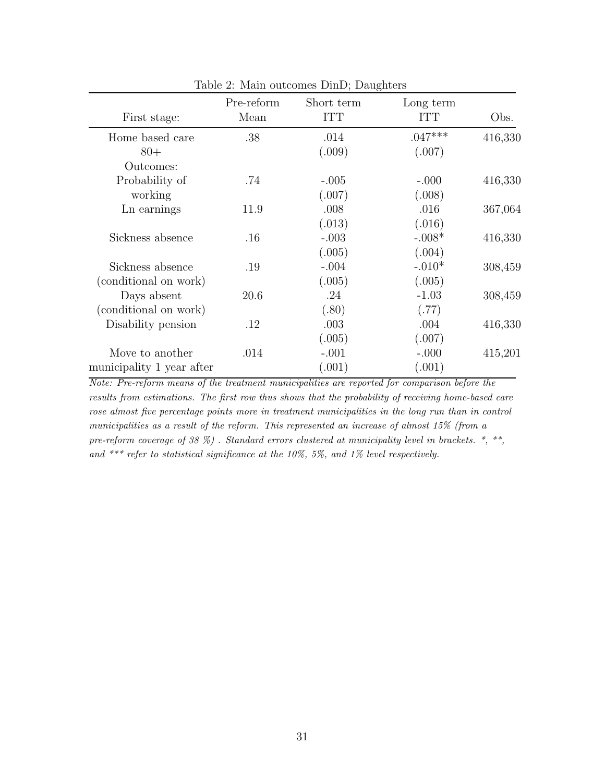| First stage:              | Pre-reform<br>Mean | Short term<br><b>ITT</b> | Long term<br><b>ITT</b> | Obs.    |
|---------------------------|--------------------|--------------------------|-------------------------|---------|
| Home based care           | .38                | .014                     | $.047***$               | 416,330 |
| $80+$                     |                    | (.009)                   | (.007)                  |         |
| Outcomes:                 |                    |                          |                         |         |
| Probability of            | .74                | $-.005$                  | $-.000$                 | 416,330 |
| working                   |                    | (.007)                   | (.008)                  |         |
| Ln earnings               | 11.9               | .008                     | .016                    | 367,064 |
|                           |                    | (.013)                   | (.016)                  |         |
| Sickness absence          | $.16\,$            | $-.003$                  | $-.008*$                | 416,330 |
|                           |                    | (.005)                   | (.004)                  |         |
| Sickness absence          | .19                | $-.004$                  | $-.010*$                | 308,459 |
| (conditional on work)     |                    | (.005)                   | (.005)                  |         |
| Days absent               | 20.6               | .24                      | $-1.03$                 | 308,459 |
| (conditional on work)     |                    | (.80)                    | (.77)                   |         |
| Disability pension        | $.12\,$            | .003                     | .004                    | 416,330 |
|                           |                    | (.005)                   | (.007)                  |         |
| Move to another           | .014               | $-.001$                  | $-.000$                 | 415,201 |
| municipality 1 year after |                    | (.001)                   | (.001)                  |         |
|                           |                    |                          |                         |         |

Table 2: Main outcomes DinD; Daughters

Note: Pre-reform means of the treatment municipalities are reported for comparison before the results from estimations. The first row thus shows that the probability of receiving home-based care rose almost five percentage points more in treatment municipalities in the long run than in control municipalities as a result of the reform. This represented an increase of almost 15% (from a pre-reform coverage of 38  $\%$ ). Standard errors clustered at municipality level in brackets.  $*, **$ and \*\*\* refer to statistical significance at the 10%, 5%, and 1% level respectively.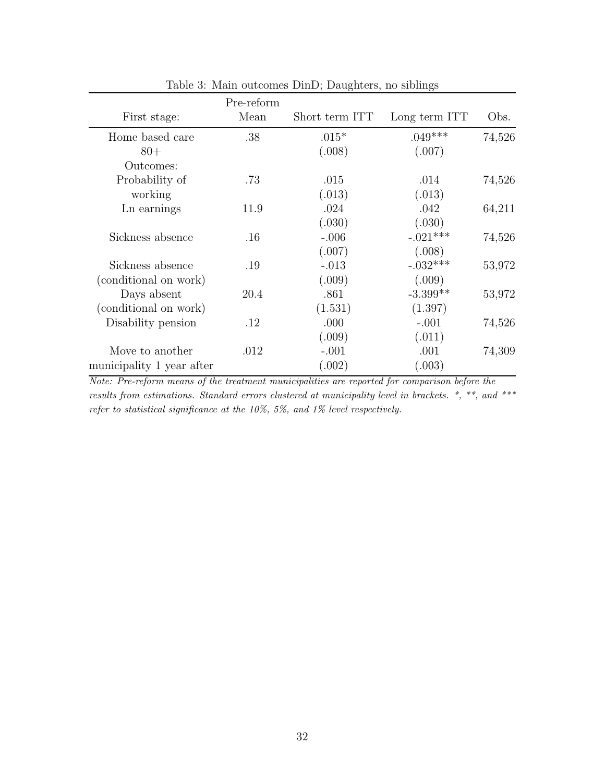| First stage:              | Pre-reform<br>Mean | Short term ITT | Long term ITT | Obs.   |
|---------------------------|--------------------|----------------|---------------|--------|
| Home based care           | .38                | $.015*$        | $.049***$     | 74,526 |
| $80+$                     |                    | (.008)         | (.007)        |        |
| Outcomes:                 |                    |                |               |        |
| Probability of            | .73                | .015           | .014          | 74,526 |
| working                   |                    | (.013)         | (.013)        |        |
| Ln earnings               | 11.9               | .024           | .042          | 64,211 |
|                           |                    | (.030)         | (.030)        |        |
| Sickness absence          | $.16\,$            | $-.006$        | $-.021***$    | 74,526 |
|                           |                    | (.007)         | (.008)        |        |
| Sickness absence          | .19                | $-.013$        | $-.032***$    | 53,972 |
| (conditional on work)     |                    | (.009)         | (.009)        |        |
| Days absent               | 20.4               | .861           | $-3.399**$    | 53,972 |
| (conditional on work)     |                    | (1.531)        | (1.397)       |        |
| Disability pension        | .12                | .000           | $-.001$       | 74,526 |
|                           |                    | (.009)         | (.011)        |        |
| Move to another           | .012               | $-.001$        | .001          | 74,309 |
| municipality 1 year after |                    | (.002)         | (.003)        |        |

Table 3: Main outcomes DinD; Daughters, no siblings

Note: Pre-reform means of the treatment municipalities are reported for comparison before the results from estimations. Standard errors clustered at municipality level in brackets. \*, \*\*, and \*\*\* refer to statistical significance at the 10%, 5%, and 1% level respectively.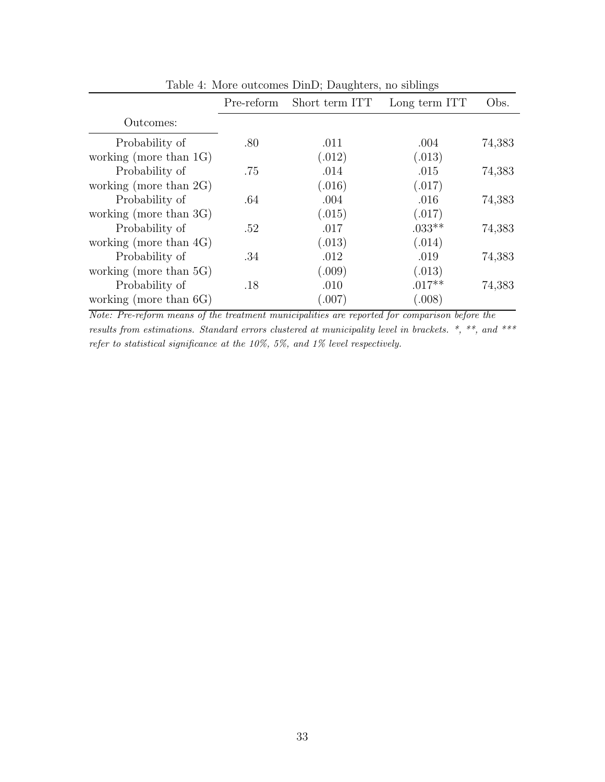| $\ldots$                  |            |                |               |        |
|---------------------------|------------|----------------|---------------|--------|
|                           | Pre-reform | Short term ITT | Long term ITT | Obs.   |
| Outcomes:                 |            |                |               |        |
| Probability of            | .80        | .011           | .004          | 74,383 |
| working (more than $1G$ ) |            | (.012)         | (.013)        |        |
| Probability of            | .75        | .014           | .015          | 74,383 |
| working (more than $2G$ ) |            | (.016)         | (.017)        |        |
| Probability of            | .64        | .004           | .016          | 74,383 |
| working (more than 3G)    |            | (.015)         | (.017)        |        |
| Probability of            | .52        | .017           | $.033**$      | 74,383 |
| working (more than $4G$ ) |            | (.013)         | (.014)        |        |
| Probability of            | .34        | .012           | .019          | 74,383 |
| working (more than $5G$ ) |            | (.009)         | (.013)        |        |
| Probability of            | .18        | .010           | $.017**$      | 74,383 |
| working (more than $6G$ ) |            | (.007)         | (.008)        |        |

Table 4: More outcomes DinD; Daughters, no siblings

Note: Pre-reform means of the treatment municipalities are reported for comparison before the results from estimations. Standard errors clustered at municipality level in brackets. \*, \*\*, and \*\*\* refer to statistical significance at the 10%, 5%, and 1% level respectively.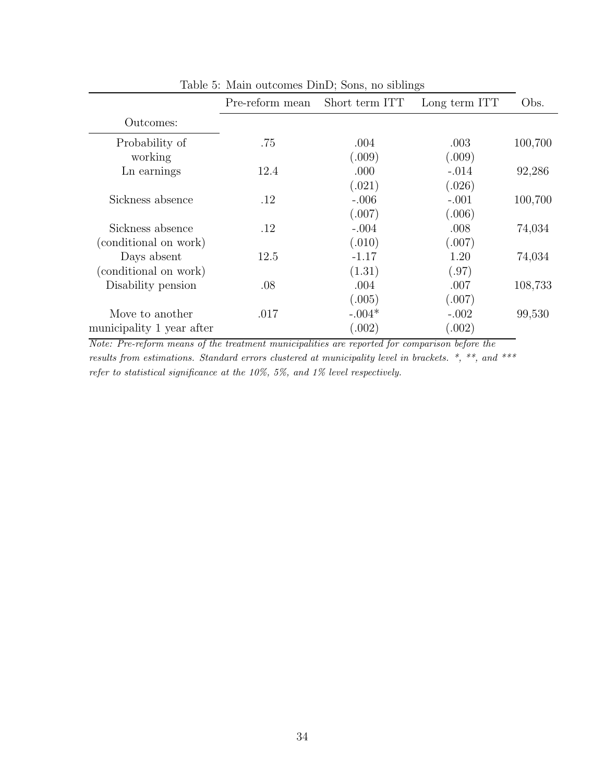|                           | Pre-reform mean | Short term ITT | Long term ITT | Obs.    |
|---------------------------|-----------------|----------------|---------------|---------|
| Outcomes:                 |                 |                |               |         |
| Probability of            | .75             | .004           | .003          | 100,700 |
| working                   |                 | (.009)         | (.009)        |         |
| Ln earnings               | 12.4            | .000           | $-.014$       | 92,286  |
|                           |                 | (.021)         | (.026)        |         |
| Sickness absence          | .12             | $-.006$        | $-.001$       | 100,700 |
|                           |                 | (.007)         | (.006)        |         |
| Sickness absence          | .12             | $-.004$        | .008          | 74,034  |
| (conditional on work)     |                 | (.010)         | (.007)        |         |
| Days absent               | 12.5            | $-1.17$        | 1.20          | 74,034  |
| (conditional on work)     |                 | (1.31)         | (.97)         |         |
| Disability pension        | .08             | .004           | .007          | 108,733 |
|                           |                 | (.005)         | (.007)        |         |
| Move to another           | .017            | $-.004*$       | $-.002$       | 99,530  |
| municipality 1 year after |                 | (.002)         | (.002)        |         |
|                           |                 |                |               |         |

Table 5: Main outcomes DinD; Sons, no siblings

Note: Pre-reform means of the treatment municipalities are reported for comparison before the results from estimations. Standard errors clustered at municipality level in brackets. \*, \*\*, and \*\*\* refer to statistical significance at the 10%, 5%, and 1% level respectively.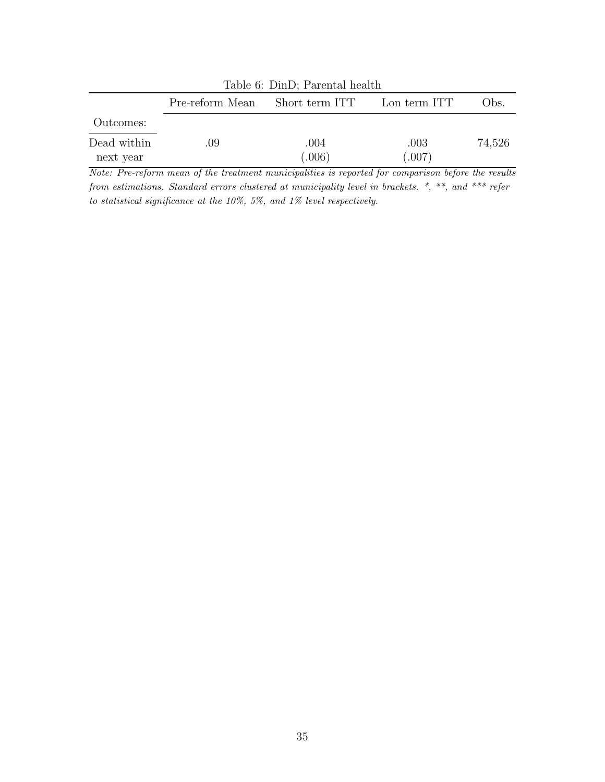| Table 6: DinD; Parental health                         |     |                |                |        |  |
|--------------------------------------------------------|-----|----------------|----------------|--------|--|
| Short term ITT Lon term ITT<br>Pre-reform Mean<br>Obs. |     |                |                |        |  |
| Outcomes:                                              |     |                |                |        |  |
| Dead within<br>next year                               | .09 | .004<br>(.006) | .003<br>(.007) | 74,526 |  |

Note: Pre-reform mean of the treatment municipalities is reported for comparison before the results from estimations. Standard errors clustered at municipality level in brackets. \*, \*\*, and \*\*\* refer to statistical significance at the 10%, 5%, and 1% level respectively.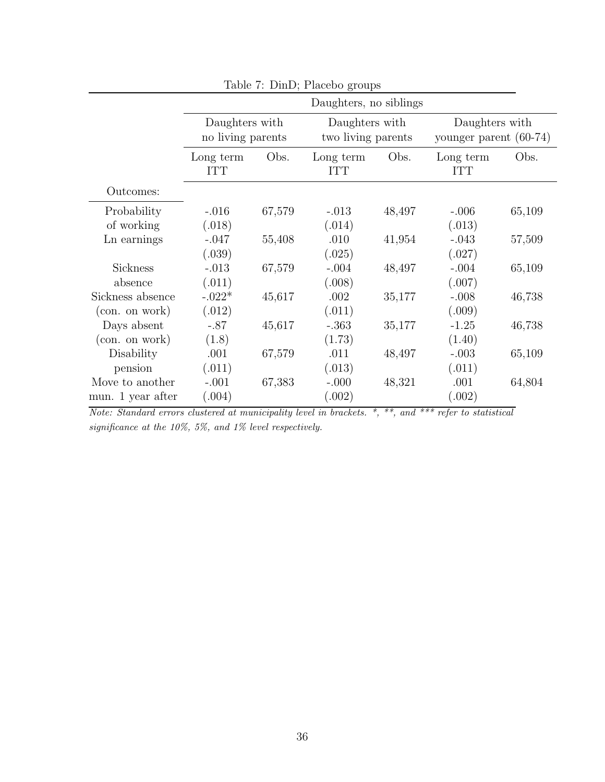| Table 7: DinD; Placebo groups |                                     |        |                                      |        |                                            |        |
|-------------------------------|-------------------------------------|--------|--------------------------------------|--------|--------------------------------------------|--------|
|                               |                                     |        | Daughters, no siblings               |        |                                            |        |
|                               | Daughters with<br>no living parents |        | Daughters with<br>two living parents |        | Daughters with<br>younger parent $(60-74)$ |        |
|                               | Long term<br><b>ITT</b>             | Obs.   | Long term<br><b>ITT</b>              | Obs.   | Long term<br><b>ITT</b>                    | Obs.   |
| Outcomes:                     |                                     |        |                                      |        |                                            |        |
| Probability                   | $-.016$                             | 67,579 | $-.013$                              | 48,497 | $-.006$                                    | 65,109 |
| of working                    | (.018)                              |        | (.014)                               |        | (.013)                                     |        |
| Ln earnings                   | $-.047$                             | 55,408 | .010                                 | 41,954 | $-.043$                                    | 57,509 |
|                               | (.039)                              |        | (.025)                               |        | (.027)                                     |        |
| Sickness                      | $-.013$                             | 67,579 | $-.004$                              | 48,497 | $-.004$                                    | 65,109 |
| absence                       | (.011)                              |        | (.008)                               |        | (.007)                                     |        |
| Sickness absence              | $-.022*$                            | 45,617 | .002                                 | 35,177 | $-.008$                                    | 46,738 |
| (con. on work)                | (.012)                              |        | (.011)                               |        | (.009)                                     |        |
| Days absent                   | $-.87$                              | 45,617 | $-.363$                              | 35,177 | $-1.25$                                    | 46,738 |
| (con. on work)                | (1.8)                               |        | (1.73)                               |        | (1.40)                                     |        |
| Disability                    | .001                                | 67,579 | .011                                 | 48,497 | $-.003$                                    | 65,109 |
| pension                       | (.011)                              |        | (.013)                               |        | (.011)                                     |        |
| Move to another               | $-.001$                             | 67,383 | $-.000$                              | 48,321 | .001                                       | 64,804 |
| mun. 1 year after             | (.004)                              |        | (.002)                               |        | (.002)                                     |        |

Note: Standard errors clustered at municipality level in brackets. \*, \*\*, and \*\*\* refer to statistical significance at the 10%, 5%, and 1% level respectively.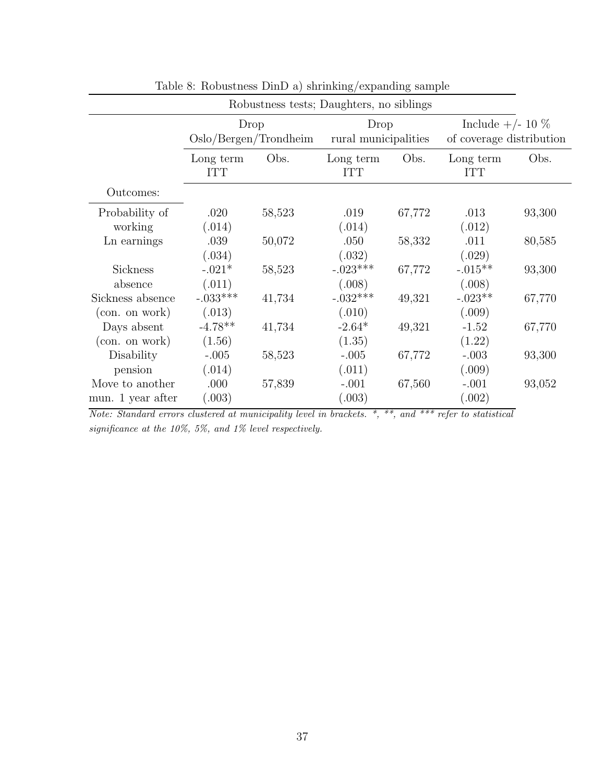| Robustness tests; Daughters, no siblings |                         |                       |                         |        |                          |        |
|------------------------------------------|-------------------------|-----------------------|-------------------------|--------|--------------------------|--------|
|                                          |                         | Drop                  | Drop                    |        | Include $+/- 10 \%$      |        |
|                                          |                         | Oslo/Bergen/Trondheim | rural municipalities    |        | of coverage distribution |        |
|                                          | Long term<br><b>ITT</b> | Obs.                  | Long term<br><b>ITT</b> | Obs.   | Long term<br><b>ITT</b>  | Obs.   |
| Outcomes:                                |                         |                       |                         |        |                          |        |
| Probability of                           | .020                    | 58,523                | .019                    | 67,772 | .013                     | 93,300 |
| working                                  | (.014)                  |                       | (.014)                  |        | (.012)                   |        |
| Ln earnings                              | .039                    | 50,072                | .050                    | 58,332 | .011                     | 80,585 |
|                                          | (.034)                  |                       | (.032)                  |        | (.029)                   |        |
| <b>Sickness</b>                          | $-.021*$                | 58,523                | $-.023***$              | 67,772 | $-.015**$                | 93,300 |
| absence                                  | (.011)                  |                       | (.008)                  |        | (.008)                   |        |
| Sickness absence                         | $-.033***$              | 41,734                | $-.032***$              | 49,321 | $-.023**$                | 67,770 |
| (con. on work)                           | (.013)                  |                       | (.010)                  |        | (.009)                   |        |
| Days absent                              | $-4.78**$               | 41,734                | $-2.64*$                | 49,321 | $-1.52$                  | 67,770 |
| (con. on work)                           | (1.56)                  |                       | (1.35)                  |        | (1.22)                   |        |
| Disability                               | $-.005$                 | 58,523                | $-.005$                 | 67,772 | $-.003$                  | 93,300 |
| pension                                  | (.014)                  |                       | (.011)                  |        | (.009)                   |        |
| Move to another                          | .000                    | 57,839                | $-.001$                 | 67,560 | $-.001$                  | 93,052 |
| mun. 1 year after                        | (.003)                  |                       | (.003)                  |        | (.002)                   |        |
|                                          |                         |                       |                         |        |                          |        |

Table 8: Robustness DinD a) shrinking/expanding sample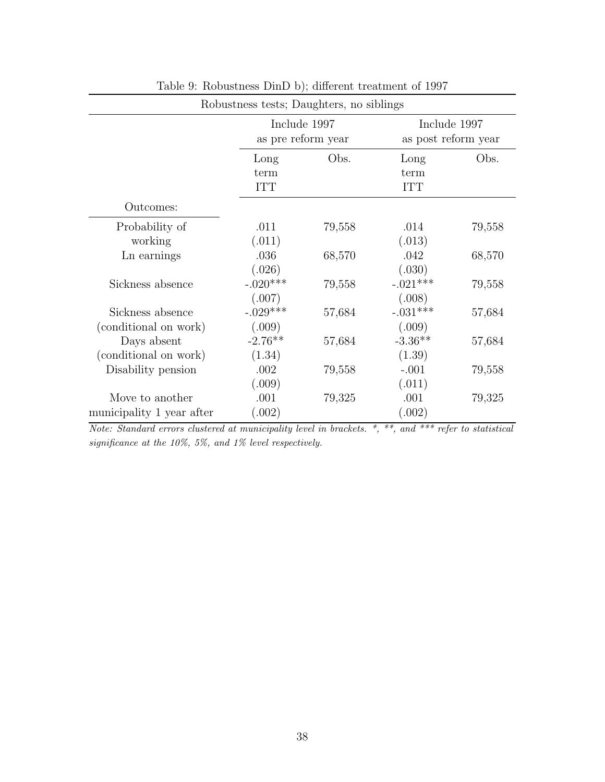|                                              | Robustness tests; Daughters, no siblings |        |                                     |        |
|----------------------------------------------|------------------------------------------|--------|-------------------------------------|--------|
|                                              | Include 1997<br>as pre reform year       |        | Include 1997<br>as post reform year |        |
|                                              | Long<br>term<br><b>ITT</b>               | Obs.   | Long<br>term<br><b>ITT</b>          | Obs.   |
| Outcomes:                                    |                                          |        |                                     |        |
| Probability of<br>working                    | .011<br>(.011)                           | 79,558 | .014<br>(.013)                      | 79,558 |
| Ln earnings                                  | .036<br>(.026)                           | 68,570 | .042<br>(.030)                      | 68,570 |
| Sickness absence                             | $-.020***$<br>(.007)                     | 79,558 | $-.021***$<br>(.008)                | 79,558 |
| Sickness absence<br>(conditional on work)    | $-.029***$<br>(.009)                     | 57,684 | $-.031***$<br>(.009)                | 57,684 |
| Days absent<br>(conditional on work)         | $-2.76**$<br>(1.34)                      | 57,684 | $-3.36**$<br>(1.39)                 | 57,684 |
| Disability pension                           | .002<br>(.009)                           | 79,558 | $-.001$<br>(.011)                   | 79,558 |
| Move to another<br>municipality 1 year after | .001<br>(.002)                           | 79,325 | .001<br>(.002)                      | 79,325 |

|  | Table 9: Robustness DinD b); different treatment of 1997 |
|--|----------------------------------------------------------|
|--|----------------------------------------------------------|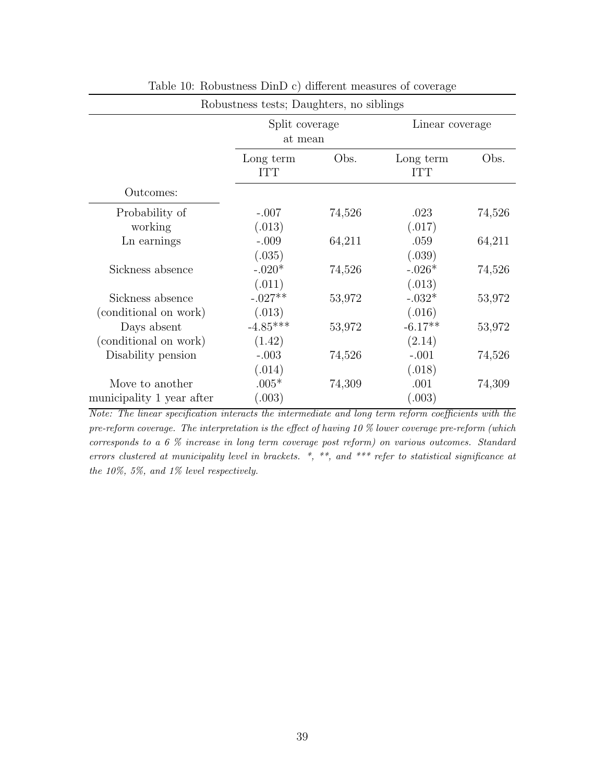|                         |                  | Linear coverage           |                                          |
|-------------------------|------------------|---------------------------|------------------------------------------|
| Long term<br><b>ITT</b> | Obs.             | Long term<br><b>ITT</b>   | Obs.                                     |
|                         |                  |                           |                                          |
| $-.007$                 | 74,526           | .023<br>(.017)            | 74,526                                   |
| $-.009$<br>(.035)       | 64,211           | .059<br>(.039)            | 64,211                                   |
| $-.020*$<br>(.011)      | 74,526           | $-.026*$<br>(.013)        | 74,526                                   |
| $-.027**$<br>(.013)     | 53,972           | $-.032*$<br>(.016)        | 53,972                                   |
| $-4.85***$<br>(1.42)    | 53,972           | $-6.17**$<br>(2.14)       | 53,972                                   |
| $-.003$                 | 74,526           | $-.001$<br>(.018)         | 74,526                                   |
| $.005*$<br>(.003)       | 74,309           | .001<br>(.003)            | 74,309                                   |
|                         | (.013)<br>(.014) | Split coverage<br>at mean | Robustness tests; Daughters, no siblings |

Table 10: Robustness DinD c) different measures of coverage

Note: The linear specification interacts the intermediate and long term reform coefficients with the pre-reform coverage. The interpretation is the effect of having 10 % lower coverage pre-reform (which corresponds to a 6 % increase in long term coverage post reform) on various outcomes. Standard errors clustered at municipality level in brackets. \*, \*\*, and \*\*\* refer to statistical significance at the 10%, 5%, and 1% level respectively.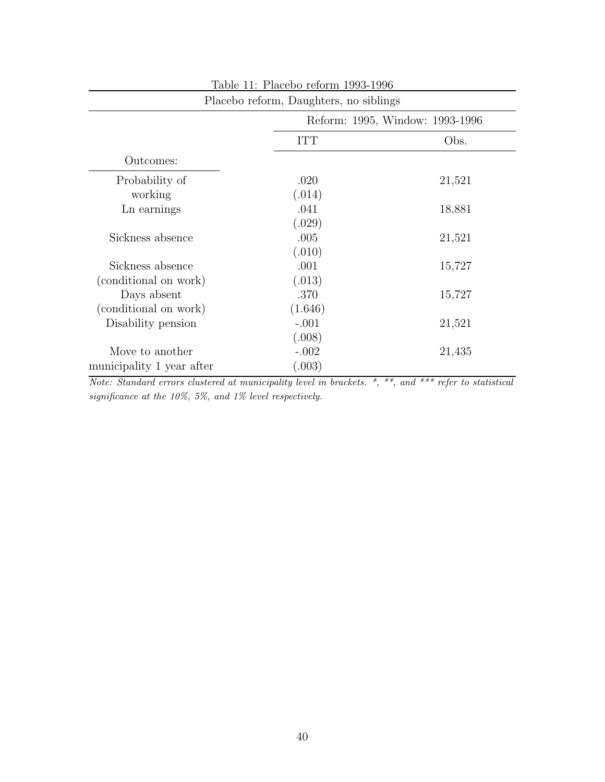|                           | Placebo reform, Daughters, no siblings |        |  |
|---------------------------|----------------------------------------|--------|--|
|                           | Reform: 1995, Window: 1993-1996        |        |  |
|                           | <b>ITT</b>                             | Obs.   |  |
| Outcomes:                 |                                        |        |  |
| Probability of            | .020                                   | 21,521 |  |
| working                   | (.014)                                 |        |  |
| Ln earnings               | .041                                   | 18,881 |  |
|                           | (.029)                                 |        |  |
| Sickness absence          | .005                                   | 21,521 |  |
|                           | (.010)                                 |        |  |
| Sickness absence          | .001                                   | 15,727 |  |
| (conditional on work)     | (.013)                                 |        |  |
| Days absent               | .370                                   | 15,727 |  |
| (conditional on work)     | (1.646)                                |        |  |
| Disability pension        | $-.001$                                | 21,521 |  |
|                           | (.008)                                 |        |  |
| Move to another           | $-.002$                                | 21,435 |  |
| municipality 1 year after | (.003)                                 |        |  |
|                           |                                        |        |  |

Table 11: Placebo reform 1993-1996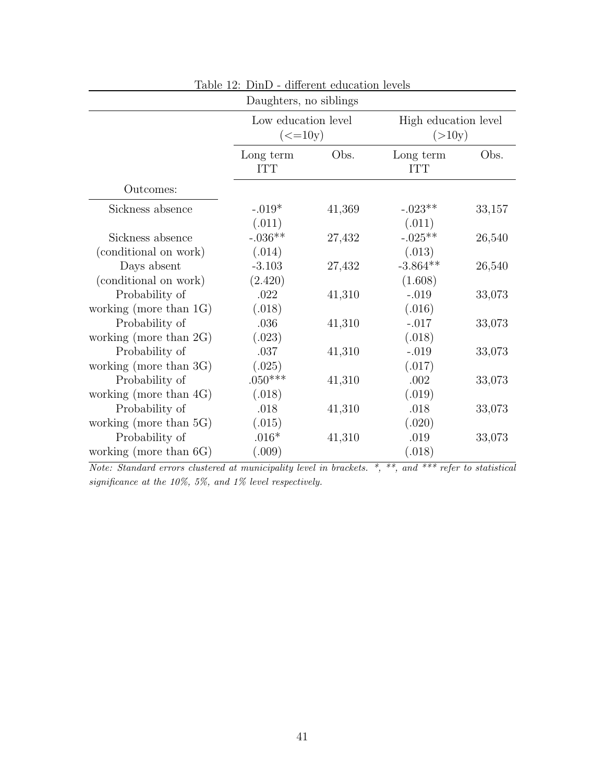|                                                                       | Daughters, no siblings                                       |        |                                |        |
|-----------------------------------------------------------------------|--------------------------------------------------------------|--------|--------------------------------|--------|
|                                                                       | Low education level<br>$\left( \text{<=}10 \text{y} \right)$ |        | High education level<br>(>10y) |        |
|                                                                       | Long term<br><b>ITT</b>                                      | Obs.   | Long term<br><b>ITT</b>        | Obs.   |
| Outcomes:                                                             |                                                              |        |                                |        |
| Sickness absence                                                      | $-.019*$<br>(.011)                                           | 41,369 | $-.023**$<br>(.011)            | 33,157 |
| Sickness absence<br>(conditional on work)                             | $-.036**$<br>(.014)                                          | 27,432 | $-.025**$<br>(.013)            | 26,540 |
| Days absent<br>(conditional on work)                                  | $-3.103$<br>(2.420)                                          | 27,432 | $-3.864**$<br>(1.608)          | 26,540 |
| Probability of<br>working (more than $1G$ )                           | .022<br>(.018)                                               | 41,310 | $-.019$<br>(.016)              | 33,073 |
| Probability of<br>working (more than $2G$ )                           | .036<br>(.023)                                               | 41,310 | $-.017$<br>(.018)              | 33,073 |
| Probability of<br>working (more than 3G)                              | .037<br>(.025)                                               | 41,310 | $-.019$<br>(.017)              | 33,073 |
| Probability of                                                        | $.050***$                                                    | 41,310 | .002                           | 33,073 |
| working (more than $4G$ )<br>Probability of                           | (.018)<br>.018                                               | 41,310 | (.019)<br>.018                 | 33,073 |
| working (more than 5G)<br>Probability of<br>working (more than $6G$ ) | (.015)<br>$.016*$<br>(.009)                                  | 41,310 | (.020)<br>.019<br>(.018)       | 33,073 |

Table 12: DinD - different education levels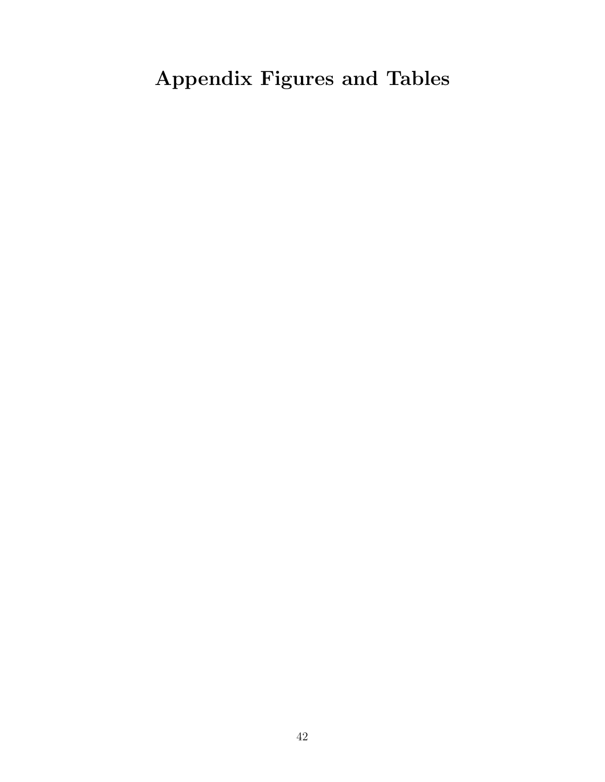# Appendix Figures and Tables